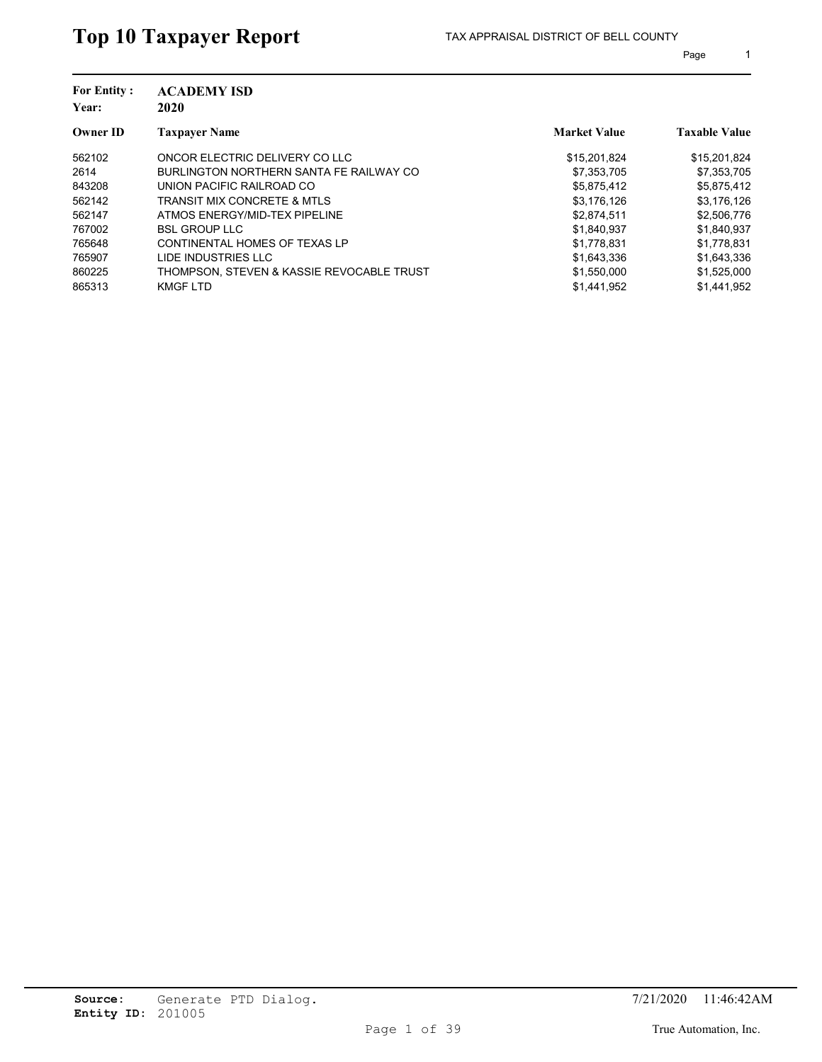| <b>For Entity:</b><br>Year: | <b>ACADEMY ISD</b><br>2020                |                     |                      |
|-----------------------------|-------------------------------------------|---------------------|----------------------|
| <b>Owner ID</b>             | <b>Taxpayer Name</b>                      | <b>Market Value</b> | <b>Taxable Value</b> |
| 562102                      | ONCOR ELECTRIC DELIVERY CO LLC            | \$15,201,824        | \$15,201,824         |
| 2614                        | BURLINGTON NORTHERN SANTA FE RAILWAY CO   | \$7,353,705         | \$7,353,705          |
| 843208                      | UNION PACIFIC RAILROAD CO                 | \$5,875,412         | \$5,875,412          |
| 562142                      | <b>TRANSIT MIX CONCRETE &amp; MTLS</b>    | \$3,176,126         | \$3,176,126          |
| 562147                      | ATMOS ENERGY/MID-TEX PIPELINE             | \$2,874,511         | \$2,506,776          |
| 767002                      | <b>BSL GROUP LLC</b>                      | \$1,840,937         | \$1,840,937          |
| 765648                      | CONTINENTAL HOMES OF TEXAS LP             | \$1,778,831         | \$1,778,831          |
| 765907                      | LIDE INDUSTRIES LLC                       | \$1,643,336         | \$1,643,336          |
| 860225                      | THOMPSON. STEVEN & KASSIE REVOCABLE TRUST | \$1,550,000         | \$1,525,000          |
| 865313                      | KMGF LTD                                  | \$1,441,952         | \$1.441.952          |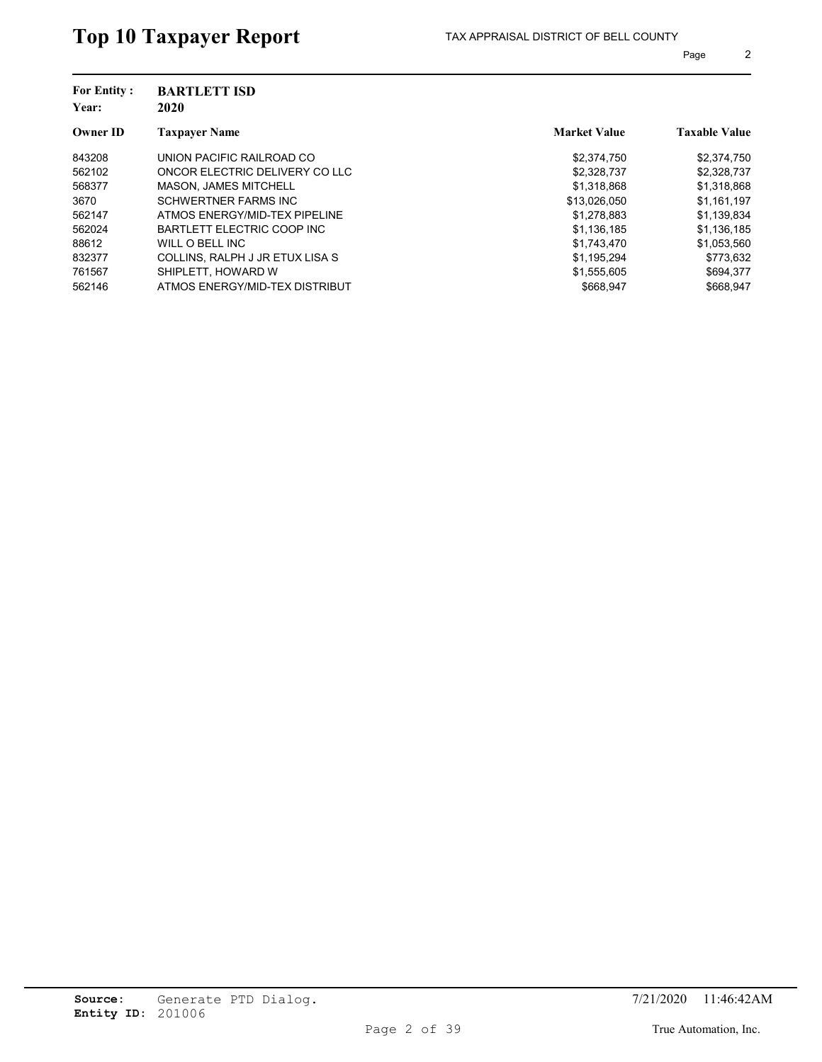| <b>For Entity:</b><br>Year: | <b>BARTLETT ISD</b><br>2020     |                     |                      |
|-----------------------------|---------------------------------|---------------------|----------------------|
| <b>Owner ID</b>             | <b>Taxpayer Name</b>            | <b>Market Value</b> | <b>Taxable Value</b> |
| 843208                      | UNION PACIFIC RAILROAD CO       | \$2,374,750         | \$2,374,750          |
| 562102                      | ONCOR ELECTRIC DELIVERY CO LLC  | \$2,328,737         | \$2,328,737          |
| 568377                      | <b>MASON. JAMES MITCHELL</b>    | \$1.318.868         | \$1,318,868          |
| 3670                        | <b>SCHWERTNER FARMS INC</b>     | \$13,026,050        | \$1,161,197          |
| 562147                      | ATMOS ENERGY/MID-TEX PIPELINE   | \$1,278,883         | \$1,139,834          |
| 562024                      | BARTLETT ELECTRIC COOP INC      | \$1,136,185         | \$1,136,185          |
| 88612                       | WILL O BELL INC                 | \$1,743,470         | \$1,053,560          |
| 832377                      | COLLINS, RALPH J JR ETUX LISA S | \$1,195,294         | \$773.632            |
| 761567                      | SHIPLETT, HOWARD W              | \$1,555,605         | \$694,377            |
| 562146                      | ATMOS ENERGY/MID-TEX DISTRIBUT  | \$668.947           | \$668.947            |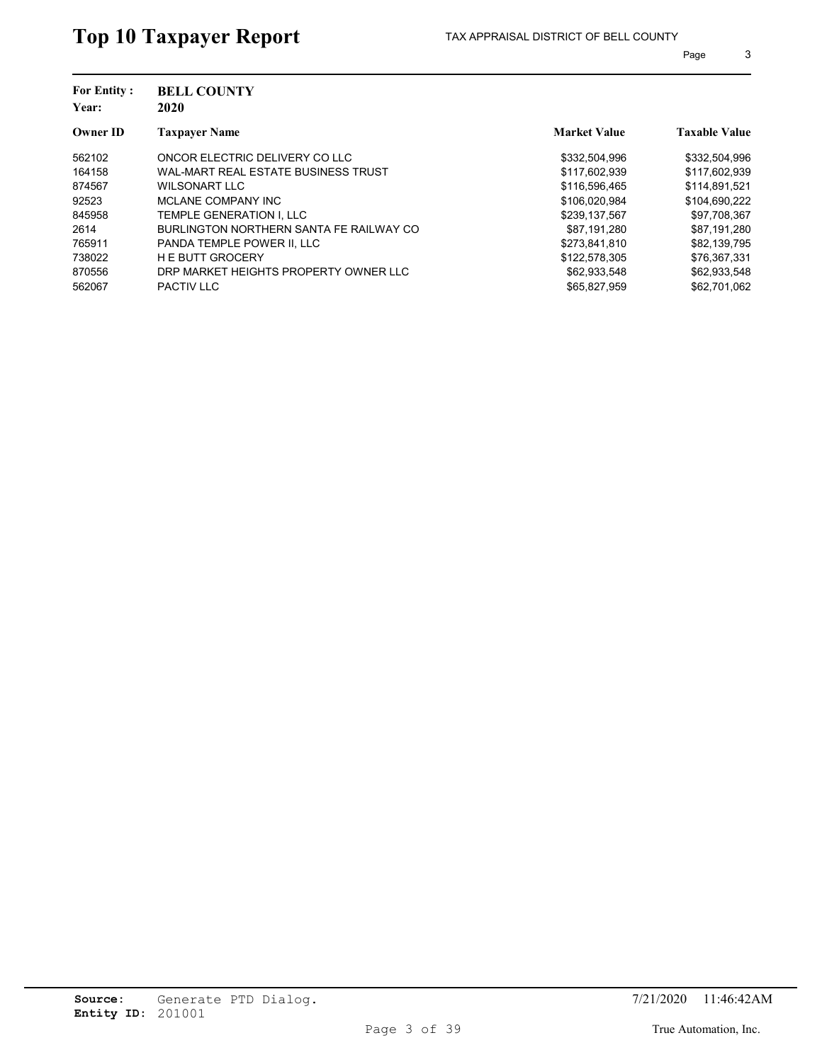| <b>For Entity:</b><br>Year: | <b>BELL COUNTY</b><br>2020              |                     |                      |
|-----------------------------|-----------------------------------------|---------------------|----------------------|
| <b>Owner ID</b>             | <b>Taxpayer Name</b>                    | <b>Market Value</b> | <b>Taxable Value</b> |
| 562102                      | ONCOR ELECTRIC DELIVERY CO LLC          | \$332,504,996       | \$332,504,996        |
| 164158                      | WAL-MART REAL ESTATE BUSINESS TRUST     | \$117,602,939       | \$117,602,939        |
| 874567                      | WILSONART LLC                           | \$116,596,465       | \$114.891.521        |
| 92523                       | MCLANE COMPANY INC                      | \$106,020,984       | \$104,690,222        |
| 845958                      | TEMPLE GENERATION I. LLC                | \$239.137.567       | \$97,708,367         |
| 2614                        | BURLINGTON NORTHERN SANTA FE RAILWAY CO | \$87.191.280        | \$87,191,280         |
| 765911                      | PANDA TEMPLE POWER II. LLC              | \$273,841,810       | \$82,139,795         |
| 738022                      | <b>HE BUTT GROCERY</b>                  | \$122,578,305       | \$76,367,331         |
| 870556                      | DRP MARKET HEIGHTS PROPERTY OWNER LLC   | \$62,933,548        | \$62,933,548         |
| 562067                      | <b>PACTIV LLC</b>                       | \$65,827,959        | \$62,701,062         |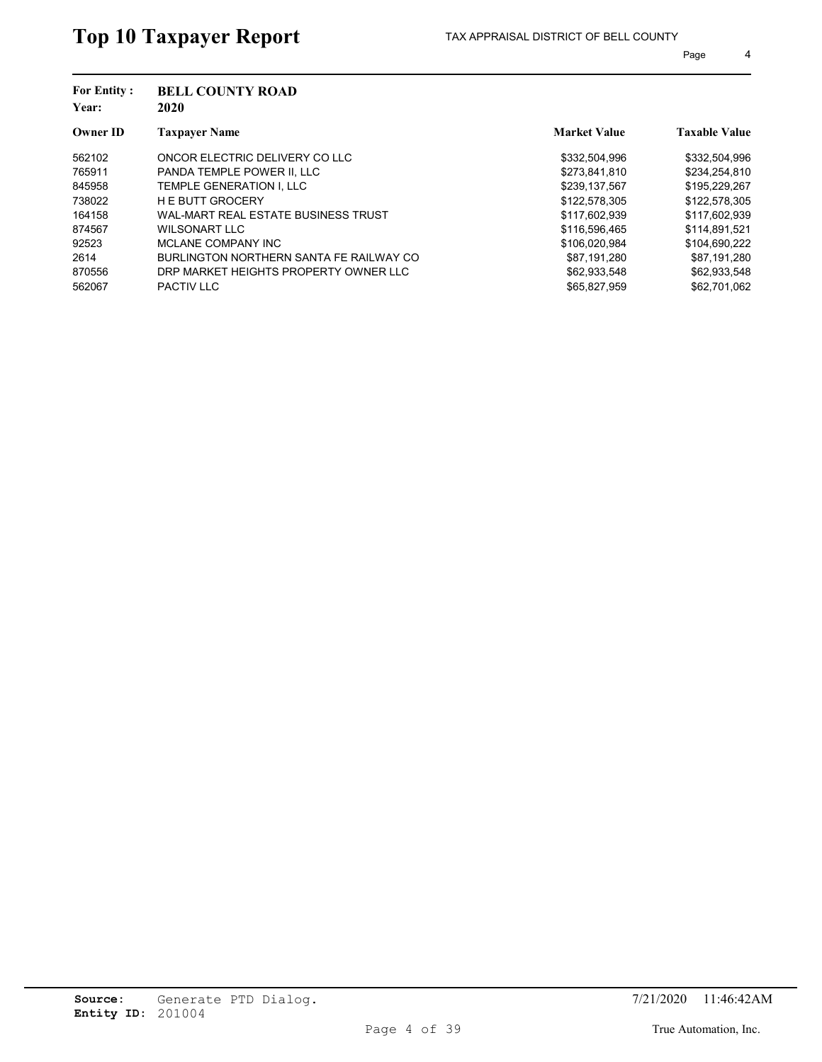| <b>For Entity:</b><br>Year: | <b>BELL COUNTY ROAD</b><br>2020         |                     |                      |
|-----------------------------|-----------------------------------------|---------------------|----------------------|
| <b>Owner ID</b>             | <b>Taxpayer Name</b>                    | <b>Market Value</b> | <b>Taxable Value</b> |
| 562102                      | ONCOR ELECTRIC DELIVERY CO LLC          | \$332,504,996       | \$332,504,996        |
| 765911                      | PANDA TEMPLE POWER II. LLC              | \$273,841,810       | \$234,254,810        |
| 845958                      | TEMPLE GENERATION I. LLC                | \$239.137.567       | \$195,229,267        |
| 738022                      | <b>HE BUTT GROCERY</b>                  | \$122,578,305       | \$122,578,305        |
| 164158                      | WAL-MART REAL ESTATE BUSINESS TRUST     | \$117,602,939       | \$117,602,939        |
| 874567                      | WILSONART LLC                           | \$116,596,465       | \$114,891,521        |
| 92523                       | MCLANE COMPANY INC                      | \$106,020,984       | \$104,690,222        |
| 2614                        | BURLINGTON NORTHERN SANTA FE RAILWAY CO | \$87.191.280        | \$87.191.280         |
| 870556                      | DRP MARKET HEIGHTS PROPERTY OWNER LLC   | \$62,933,548        | \$62,933,548         |
| 562067                      | <b>PACTIV LLC</b>                       | \$65,827,959        | \$62,701,062         |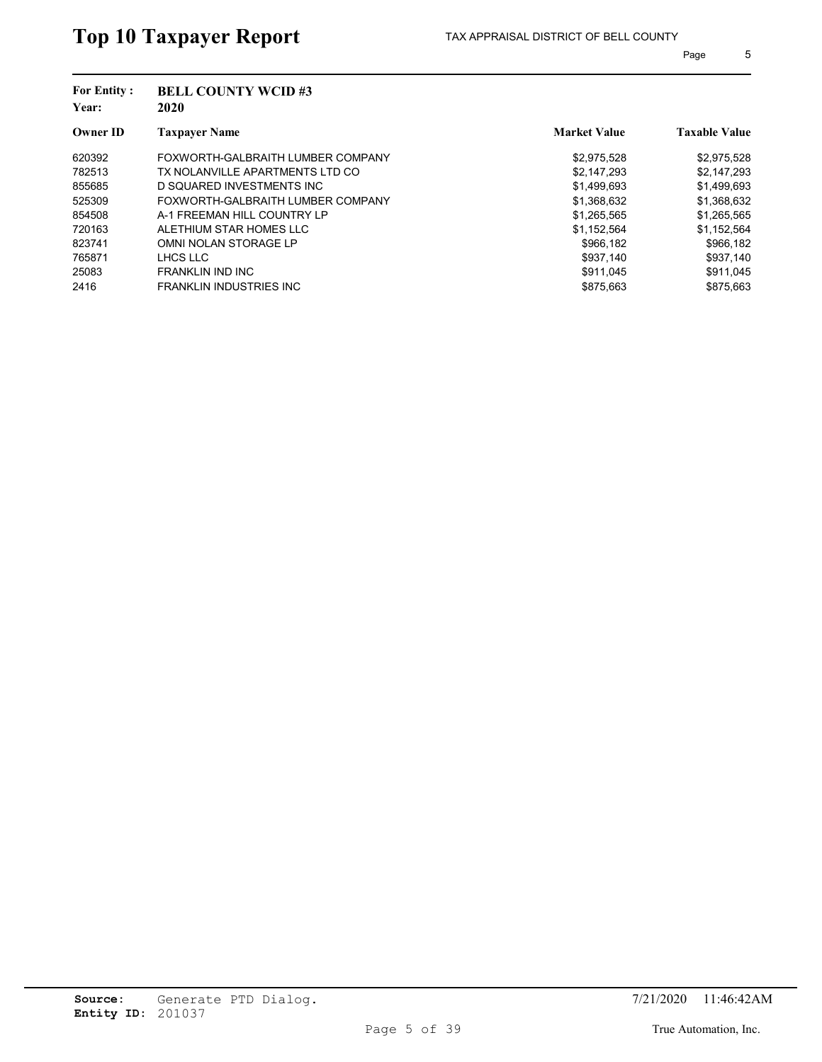| <b>For Entity:</b><br>Year: | <b>BELL COUNTY WCID#3</b><br>2020 |                     |                      |
|-----------------------------|-----------------------------------|---------------------|----------------------|
| <b>Owner ID</b>             | <b>Taxpayer Name</b>              | <b>Market Value</b> | <b>Taxable Value</b> |
| 620392                      | FOXWORTH-GALBRAITH LUMBER COMPANY | \$2,975,528         | \$2,975,528          |
| 782513                      | TX NOLANVILLE APARTMENTS LTD CO   | \$2.147.293         | \$2,147,293          |
| 855685                      | D SQUARED INVESTMENTS INC.        | \$1,499,693         | \$1,499,693          |
| 525309                      | FOXWORTH-GALBRAITH LUMBER COMPANY | \$1,368,632         | \$1,368,632          |
| 854508                      | A-1 FREEMAN HILL COUNTRY LP       | \$1,265,565         | \$1,265,565          |
| 720163                      | ALETHIUM STAR HOMES LLC           | \$1,152,564         | \$1,152,564          |
| 823741                      | OMNI NOLAN STORAGE LP             | \$966.182           | \$966,182            |
| 765871                      | LHCS LLC                          | \$937,140           | \$937,140            |
| 25083                       | FRANKLIN IND INC                  | \$911.045           | \$911.045            |
| 2416                        | <b>FRANKLIN INDUSTRIES INC.</b>   | \$875.663           | \$875.663            |
|                             |                                   |                     |                      |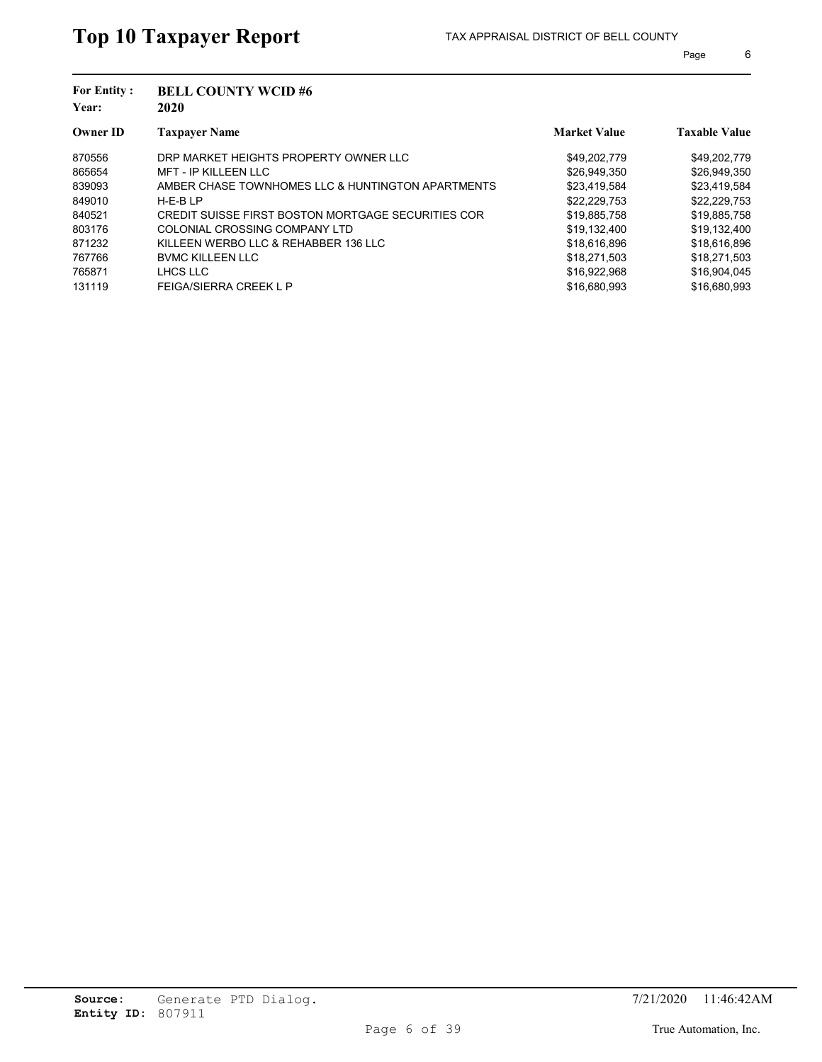| <b>For Entity:</b><br>Year: | <b>BELL COUNTY WCID#6</b><br>2020                  |                     |                      |  |
|-----------------------------|----------------------------------------------------|---------------------|----------------------|--|
| <b>Owner ID</b>             | <b>Taxpayer Name</b>                               | <b>Market Value</b> | <b>Taxable Value</b> |  |
| 870556                      | DRP MARKET HEIGHTS PROPERTY OWNER LLC              | \$49,202,779        | \$49,202,779         |  |
| 865654                      | <b>MFT - IP KILLEEN LLC</b>                        | \$26,949,350        | \$26,949,350         |  |
| 839093                      | AMBER CHASE TOWNHOMES LLC & HUNTINGTON APARTMENTS  | \$23,419,584        | \$23,419,584         |  |
| 849010                      | $H-E-BLP$                                          | \$22,229,753        | \$22,229,753         |  |
| 840521                      | CREDIT SUISSE FIRST BOSTON MORTGAGE SECURITIES COR | \$19,885,758        | \$19,885,758         |  |
| 803176                      | COLONIAL CROSSING COMPANY LTD                      | \$19,132,400        | \$19,132,400         |  |
| 871232                      | KILLEEN WERBO LLC & REHABBER 136 LLC               | \$18,616,896        | \$18,616,896         |  |
| 767766                      | <b>BVMC KILLEEN LLC</b>                            | \$18,271,503        | \$18,271,503         |  |
| 765871                      | LHCS LLC                                           | \$16,922,968        | \$16,904,045         |  |
| 131119                      | <b>FEIGA/SIERRA CREEK L P</b>                      | \$16,680,993        | \$16,680,993         |  |
|                             |                                                    |                     |                      |  |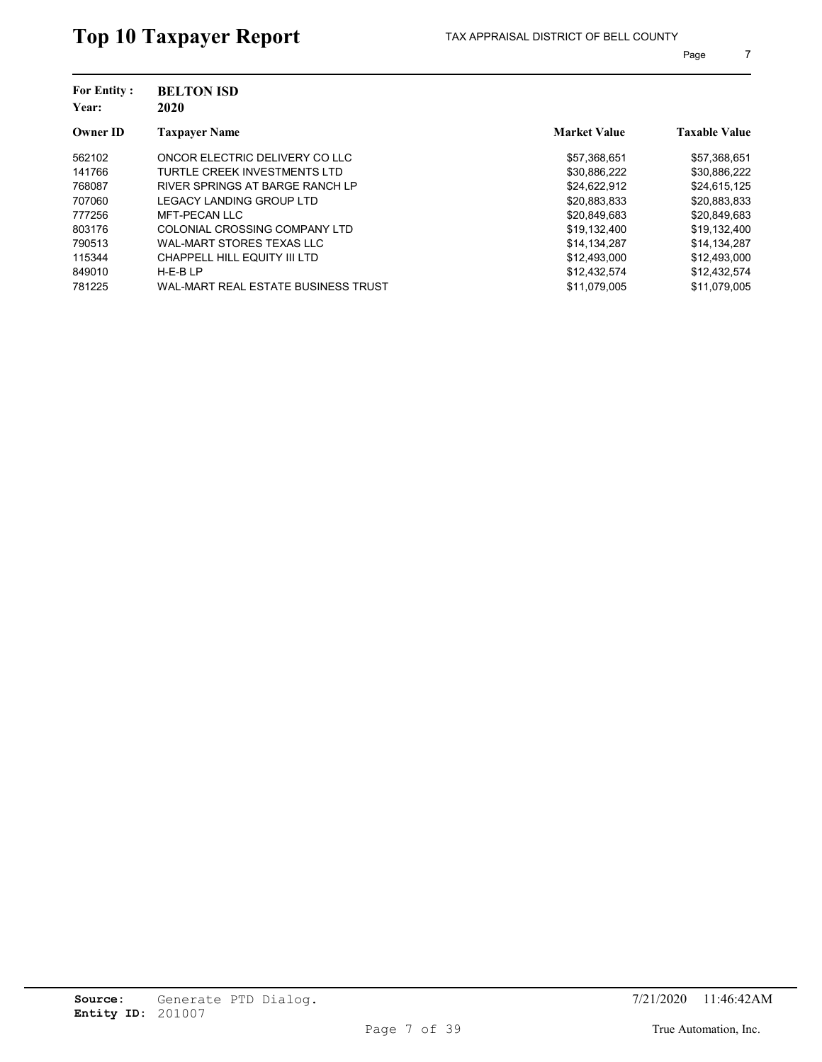| <b>For Entity:</b><br>Year: | <b>BELTON ISD</b><br>2020           |                     |                      |
|-----------------------------|-------------------------------------|---------------------|----------------------|
| <b>Owner ID</b>             | <b>Taxpayer Name</b>                | <b>Market Value</b> | <b>Taxable Value</b> |
| 562102                      | ONCOR ELECTRIC DELIVERY CO LLC      | \$57,368,651        | \$57,368,651         |
| 141766                      | TURTLE CREEK INVESTMENTS LTD        | \$30.886.222        | \$30,886,222         |
| 768087                      | RIVER SPRINGS AT BARGE RANCH LP     | \$24,622,912        | \$24,615,125         |
| 707060                      | LEGACY LANDING GROUP LTD            | \$20,883,833        | \$20,883,833         |
| 777256                      | MFT-PECAN LLC                       | \$20,849,683        | \$20,849,683         |
| 803176                      | COLONIAL CROSSING COMPANY LTD       | \$19,132,400        | \$19,132,400         |
| 790513                      | <b>WAL-MART STORES TEXAS LLC</b>    | \$14,134,287        | \$14,134,287         |
| 115344                      | CHAPPELL HILL EQUITY III LTD        | \$12,493,000        | \$12,493,000         |
| 849010                      | $H-E-BLP$                           | \$12,432,574        | \$12,432,574         |
| 781225                      | WAL-MART REAL ESTATE BUSINESS TRUST | \$11.079.005        | \$11.079.005         |
|                             |                                     |                     |                      |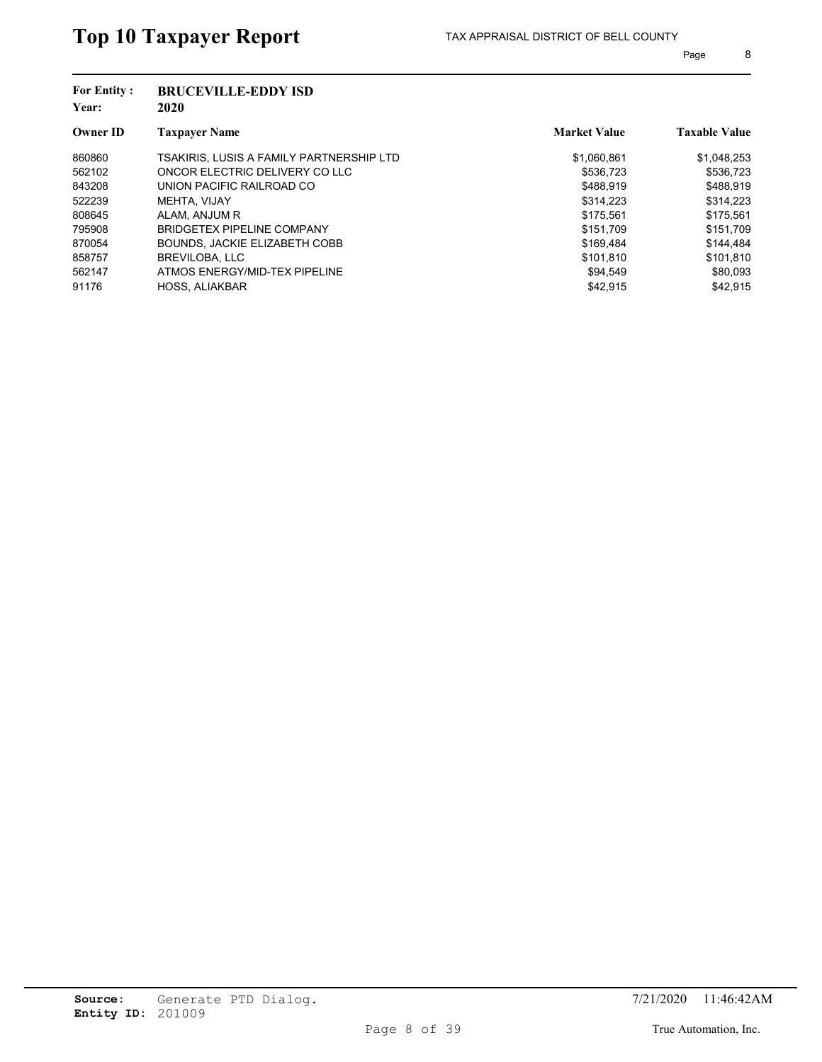| <b>For Entity:</b><br>Year: | <b>BRUCEVILLE-EDDY ISD</b><br>2020              |                     |                      |
|-----------------------------|-------------------------------------------------|---------------------|----------------------|
| <b>Owner ID</b>             | <b>Taxpayer Name</b>                            | <b>Market Value</b> | <b>Taxable Value</b> |
| 860860                      | <b>TSAKIRIS, LUSIS A FAMILY PARTNERSHIP LTD</b> | \$1,060,861         | \$1,048,253          |
| 562102                      | ONCOR ELECTRIC DELIVERY CO LLC                  | \$536.723           | \$536.723            |
| 843208                      | UNION PACIFIC RAILROAD CO                       | \$488.919           | \$488.919            |
| 522239                      | MEHTA, VIJAY                                    | \$314.223           | \$314.223            |
| 808645                      | ALAM, ANJUM R                                   | \$175.561           | \$175,561            |
| 795908                      | BRIDGETEX PIPELINE COMPANY                      | \$151,709           | \$151,709            |
| 870054                      | BOUNDS, JACKIE ELIZABETH COBB                   | \$169.484           | \$144,484            |
| 858757                      | <b>BREVILOBA, LLC</b>                           | \$101.810           | \$101.810            |
| 562147                      | ATMOS ENERGY/MID-TEX PIPELINE                   | \$94,549            | \$80,093             |
| 91176                       | <b>HOSS, ALIAKBAR</b>                           | \$42,915            | \$42.915             |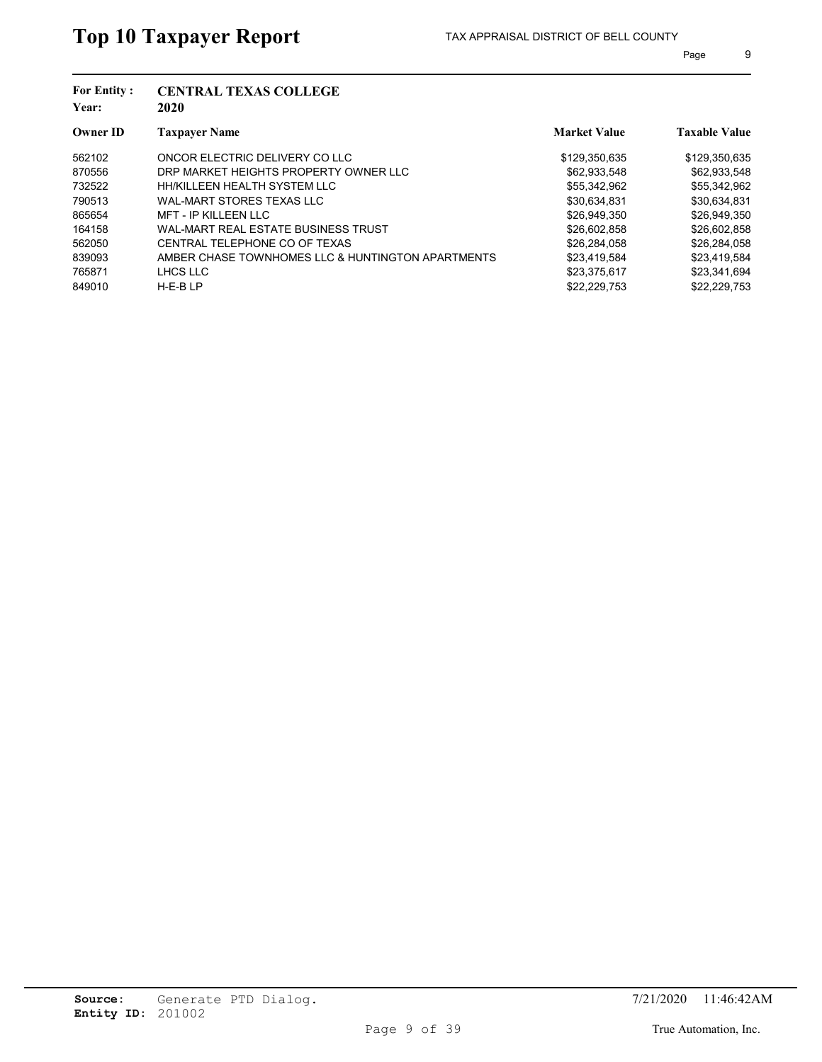| <b>For Entity:</b><br>Year: | <b>CENTRAL TEXAS COLLEGE</b><br>2020              |                     |                      |  |  |
|-----------------------------|---------------------------------------------------|---------------------|----------------------|--|--|
| <b>Owner ID</b>             | <b>Taxpayer Name</b>                              | <b>Market Value</b> | <b>Taxable Value</b> |  |  |
| 562102                      | ONCOR ELECTRIC DELIVERY CO LLC                    | \$129,350,635       | \$129,350,635        |  |  |
| 870556                      | DRP MARKET HEIGHTS PROPERTY OWNER LLC             | \$62,933,548        | \$62,933,548         |  |  |
| 732522                      | HH/KILLEEN HEALTH SYSTEM LLC                      | \$55,342,962        | \$55,342,962         |  |  |
| 790513                      | WAL-MART STORES TEXAS LLC                         | \$30,634,831        | \$30,634,831         |  |  |
| 865654                      | <b>MFT - IP KILLEEN LLC</b>                       | \$26,949,350        | \$26,949,350         |  |  |
| 164158                      | WAL-MART REAL ESTATE BUSINESS TRUST               | \$26,602,858        | \$26,602,858         |  |  |
| 562050                      | CENTRAL TELEPHONE CO OF TEXAS                     | \$26,284,058        | \$26,284,058         |  |  |
| 839093                      | AMBER CHASE TOWNHOMES LLC & HUNTINGTON APARTMENTS | \$23.419.584        | \$23.419.584         |  |  |
| 765871                      | LHCS LLC                                          | \$23,375,617        | \$23,341,694         |  |  |
| 849010                      | $H-E-BLP$                                         | \$22.229.753        | \$22,229,753         |  |  |
|                             |                                                   |                     |                      |  |  |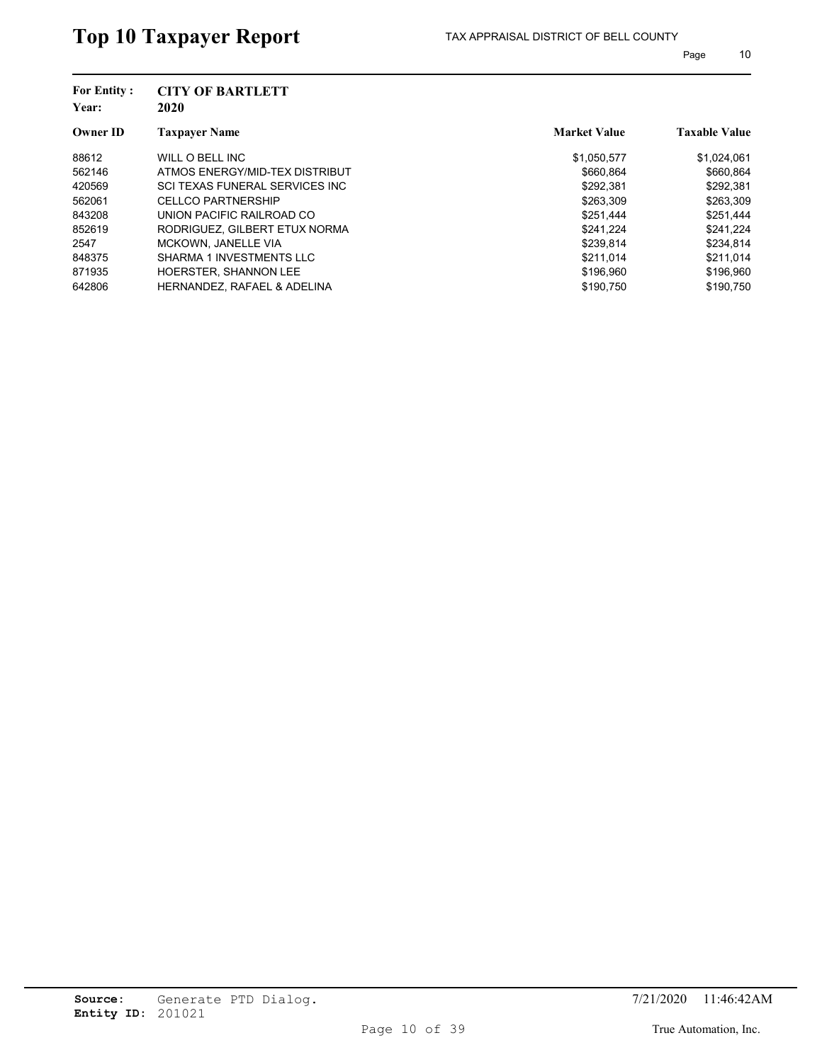| <b>For Entity:</b><br>Year: | <b>CITY OF BARTLETT</b><br>2020        |                     |                      |
|-----------------------------|----------------------------------------|---------------------|----------------------|
| <b>Owner ID</b>             | <b>Taxpayer Name</b>                   | <b>Market Value</b> | <b>Taxable Value</b> |
| 88612                       | WILL O BELL INC                        | \$1,050,577         | \$1,024,061          |
| 562146                      | ATMOS ENERGY/MID-TEX DISTRIBUT         | \$660.864           | \$660,864            |
| 420569                      | SCI TEXAS FUNERAL SERVICES INC         | \$292,381           | \$292,381            |
| 562061                      | <b>CELLCO PARTNERSHIP</b>              | \$263,309           | \$263,309            |
| 843208                      | UNION PACIFIC RAILROAD CO              | \$251,444           | \$251,444            |
| 852619                      | RODRIGUEZ, GILBERT ETUX NORMA          | \$241.224           | \$241.224            |
| 2547                        | <b>MCKOWN, JANELLE VIA</b>             | \$239,814           | \$234,814            |
| 848375                      | SHARMA 1 INVESTMENTS LLC               | \$211.014           | \$211.014            |
| 871935                      | HOERSTER, SHANNON LEE                  | \$196,960           | \$196,960            |
| 642806                      | <b>HERNANDEZ, RAFAEL &amp; ADELINA</b> | \$190.750           | \$190.750            |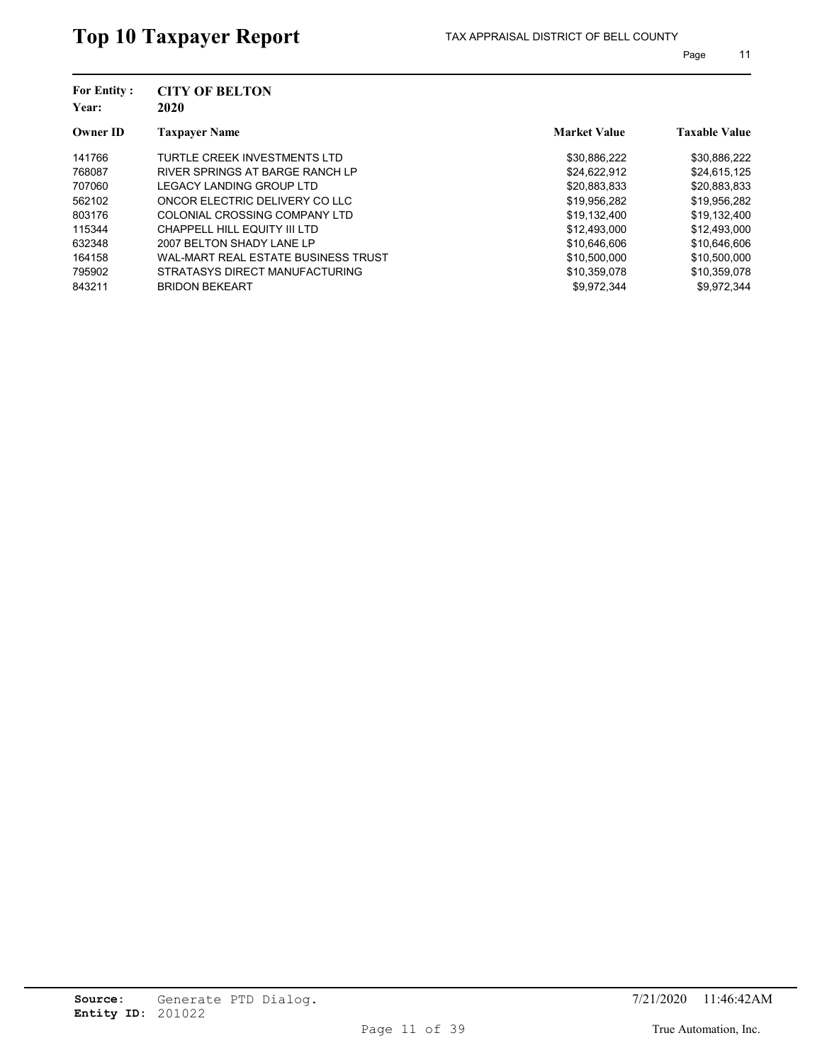| <b>For Entity:</b><br>Year: | <b>CITY OF BELTON</b><br>2020       |                     |                      |
|-----------------------------|-------------------------------------|---------------------|----------------------|
| <b>Owner ID</b>             | <b>Taxpayer Name</b>                | <b>Market Value</b> | <b>Taxable Value</b> |
| 141766                      | TURTLE CREEK INVESTMENTS LTD        | \$30,886,222        | \$30,886,222         |
| 768087                      | RIVER SPRINGS AT BARGE RANCH LP     | \$24,622,912        | \$24,615,125         |
| 707060                      | LEGACY LANDING GROUP LTD            | \$20,883,833        | \$20,883,833         |
| 562102                      | ONCOR ELECTRIC DELIVERY CO LLC      | \$19,956,282        | \$19,956,282         |
| 803176                      | COLONIAL CROSSING COMPANY LTD       | \$19,132,400        | \$19,132,400         |
| 115344                      | CHAPPELL HILL EQUITY III LTD        | \$12,493,000        | \$12,493,000         |
| 632348                      | 2007 BELTON SHADY LANE LP           | \$10,646,606        | \$10,646,606         |
| 164158                      | WAL-MART REAL ESTATE BUSINESS TRUST | \$10,500,000        | \$10,500,000         |
| 795902                      | STRATASYS DIRECT MANUFACTURING      | \$10,359,078        | \$10,359,078         |
| 843211                      | <b>BRIDON BEKEART</b>               | \$9,972,344         | \$9.972.344          |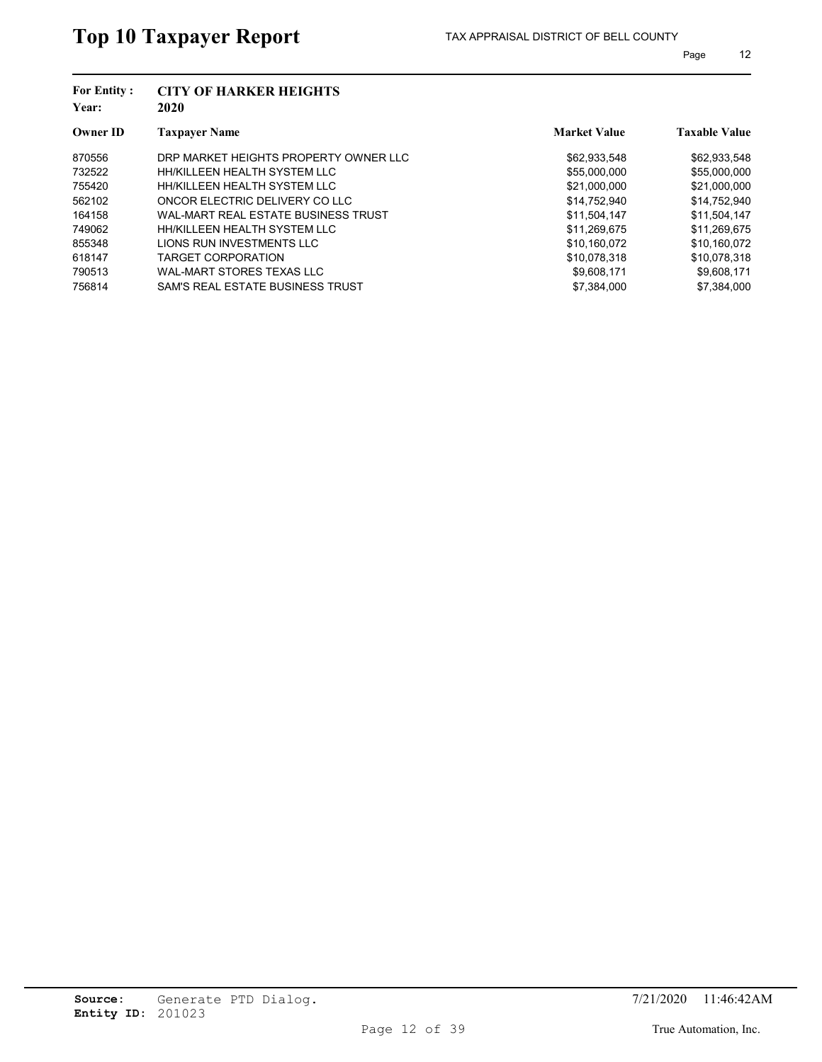| <b>For Entity:</b><br>Year: | <b>CITY OF HARKER HEIGHTS</b><br>2020 |                     |                      |
|-----------------------------|---------------------------------------|---------------------|----------------------|
| <b>Owner ID</b>             | <b>Taxpayer Name</b>                  | <b>Market Value</b> | <b>Taxable Value</b> |
| 870556                      | DRP MARKET HEIGHTS PROPERTY OWNER LLC | \$62,933,548        | \$62,933,548         |
| 732522                      | HH/KILLEEN HEALTH SYSTEM LLC          | \$55,000,000        | \$55,000,000         |
| 755420                      | HH/KILLEEN HEALTH SYSTEM LLC          | \$21,000,000        | \$21,000,000         |
| 562102                      | ONCOR ELECTRIC DELIVERY CO LLC        | \$14,752,940        | \$14,752,940         |
| 164158                      | WAL-MART REAL ESTATE BUSINESS TRUST   | \$11,504,147        | \$11,504,147         |
| 749062                      | HH/KILLEEN HEALTH SYSTEM LLC          | \$11,269,675        | \$11,269,675         |
| 855348                      | LIONS RUN INVESTMENTS LLC             | \$10,160,072        | \$10,160,072         |
| 618147                      | <b>TARGET CORPORATION</b>             | \$10.078.318        | \$10.078.318         |
| 790513                      | WAL-MART STORES TEXAS LLC             | \$9,608,171         | \$9,608,171          |
| 756814                      | SAM'S REAL ESTATE BUSINESS TRUST      | \$7,384,000         | \$7.384.000          |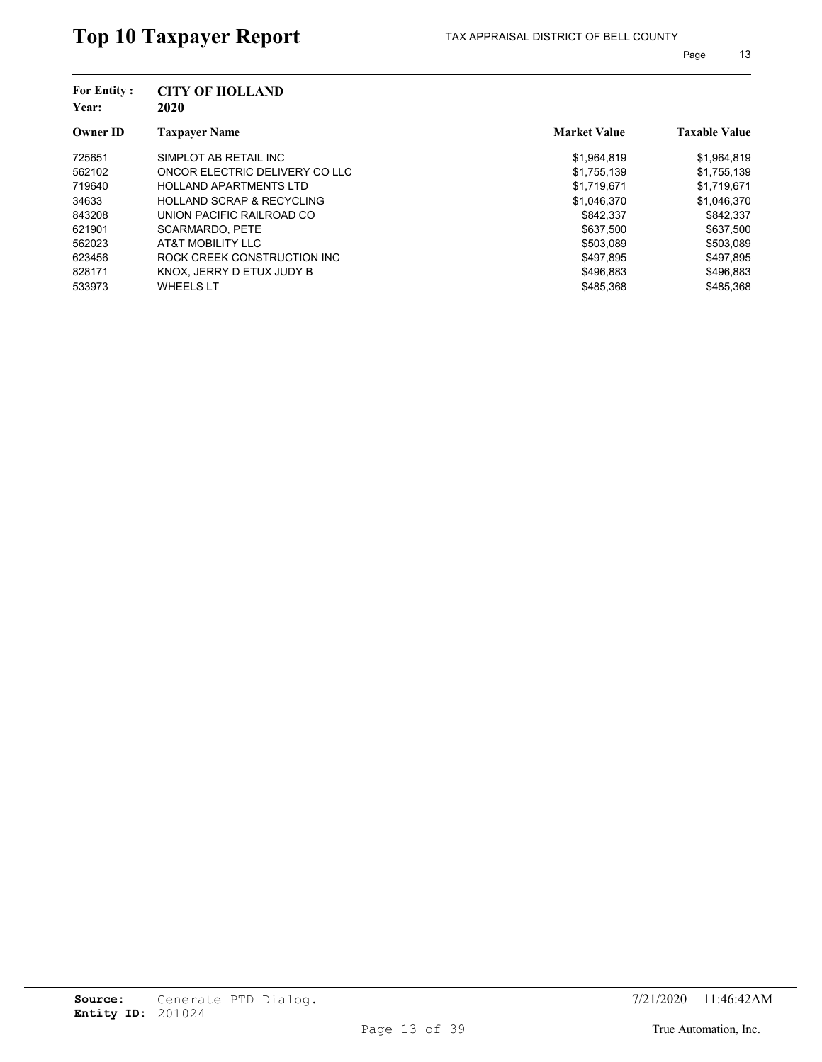| <b>For Entity:</b><br>Year: | <b>CITY OF HOLLAND</b><br>2020       |                     |                      |
|-----------------------------|--------------------------------------|---------------------|----------------------|
| <b>Owner ID</b>             | <b>Taxpayer Name</b>                 | <b>Market Value</b> | <b>Taxable Value</b> |
| 725651                      | SIMPLOT AB RETAIL INC                | \$1,964,819         | \$1,964,819          |
| 562102                      | ONCOR ELECTRIC DELIVERY CO LLC       | \$1,755,139         | \$1,755,139          |
| 719640                      | <b>HOLLAND APARTMENTS LTD</b>        | \$1.719.671         | \$1,719,671          |
| 34633                       | <b>HOLLAND SCRAP &amp; RECYCLING</b> | \$1,046,370         | \$1,046,370          |
| 843208                      | UNION PACIFIC RAILROAD CO            | \$842.337           | \$842,337            |
| 621901                      | <b>SCARMARDO, PETE</b>               | \$637.500           | \$637,500            |
| 562023                      | AT&T MOBILITY LLC                    | \$503,089           | \$503,089            |
| 623456                      | ROCK CREEK CONSTRUCTION INC          | \$497.895           | \$497.895            |
| 828171                      | KNOX, JERRY D ETUX JUDY B            | \$496,883           | \$496,883            |
| 533973                      | <b>WHEELS LT</b>                     | \$485.368           | \$485.368            |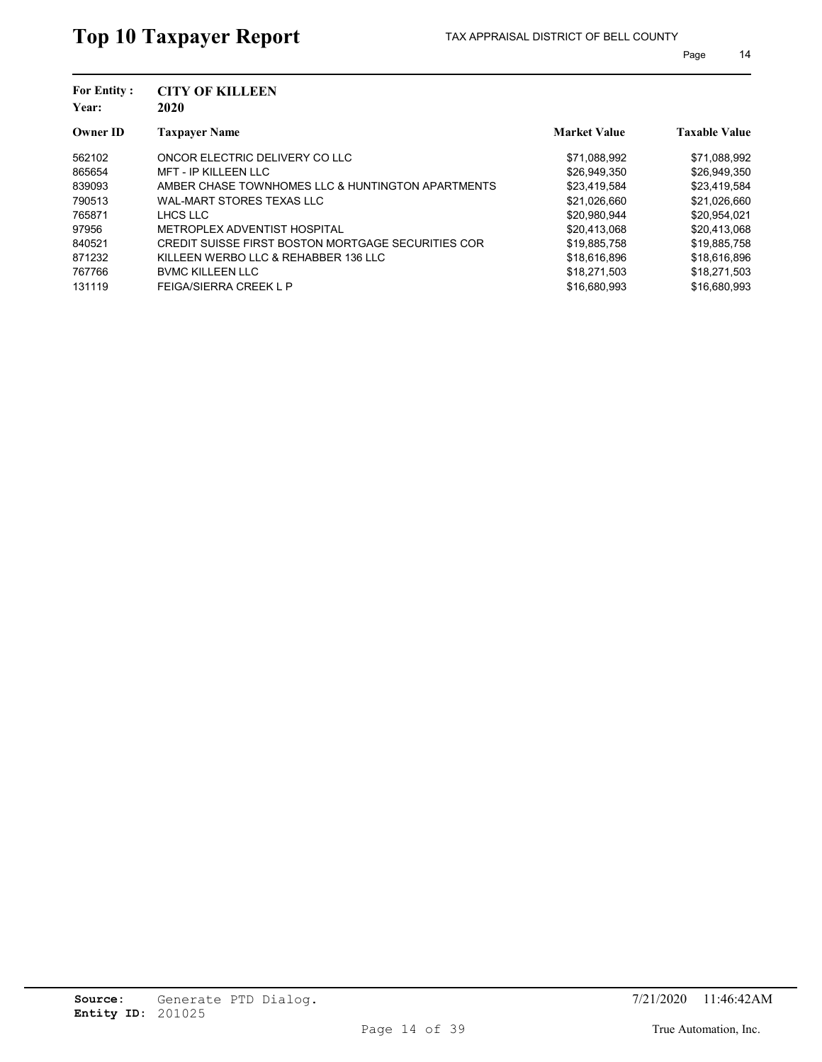| <b>Market Value</b><br><b>Taxpayer Name</b><br><b>Owner ID</b><br>ONCOR ELECTRIC DELIVERY CO LLC<br>562102<br>\$71,088,992<br>865654<br><b>MFT - IP KILLEEN LLC</b><br>\$26,949,350<br>839093<br>AMBER CHASE TOWNHOMES LLC & HUNTINGTON APARTMENTS<br>\$23,419,584<br>790513<br>WAL-MART STORES TEXAS LLC<br>\$21,026,660<br>765871<br>LHCS LLC<br>\$20,980,944<br>METROPLEX ADVENTIST HOSPITAL<br>97956<br>\$20.413.068<br>CREDIT SUISSE FIRST BOSTON MORTGAGE SECURITIES COR<br>840521<br>\$19,885,758<br>KILLEEN WERBO LLC & REHABBER 136 LLC<br>871232<br>\$18.616.896<br>767766<br><b>BVMC KILLEEN LLC</b><br>\$18.271.503<br>131119<br><b>FEIGA/SIERRA CREEK L P</b><br>\$16,680,993 | <b>For Entity:</b><br>Year: | <b>CITY OF KILLEEN</b><br>2020 |  |                      |  |  |
|--------------------------------------------------------------------------------------------------------------------------------------------------------------------------------------------------------------------------------------------------------------------------------------------------------------------------------------------------------------------------------------------------------------------------------------------------------------------------------------------------------------------------------------------------------------------------------------------------------------------------------------------------------------------------------------------|-----------------------------|--------------------------------|--|----------------------|--|--|
|                                                                                                                                                                                                                                                                                                                                                                                                                                                                                                                                                                                                                                                                                            |                             |                                |  | <b>Taxable Value</b> |  |  |
|                                                                                                                                                                                                                                                                                                                                                                                                                                                                                                                                                                                                                                                                                            |                             |                                |  | \$71,088,992         |  |  |
|                                                                                                                                                                                                                                                                                                                                                                                                                                                                                                                                                                                                                                                                                            |                             |                                |  | \$26,949,350         |  |  |
|                                                                                                                                                                                                                                                                                                                                                                                                                                                                                                                                                                                                                                                                                            |                             |                                |  | \$23,419,584         |  |  |
|                                                                                                                                                                                                                                                                                                                                                                                                                                                                                                                                                                                                                                                                                            |                             |                                |  | \$21,026,660         |  |  |
|                                                                                                                                                                                                                                                                                                                                                                                                                                                                                                                                                                                                                                                                                            |                             |                                |  | \$20,954,021         |  |  |
|                                                                                                                                                                                                                                                                                                                                                                                                                                                                                                                                                                                                                                                                                            |                             |                                |  | \$20,413,068         |  |  |
|                                                                                                                                                                                                                                                                                                                                                                                                                                                                                                                                                                                                                                                                                            |                             |                                |  | \$19,885,758         |  |  |
|                                                                                                                                                                                                                                                                                                                                                                                                                                                                                                                                                                                                                                                                                            |                             |                                |  | \$18,616,896         |  |  |
|                                                                                                                                                                                                                                                                                                                                                                                                                                                                                                                                                                                                                                                                                            |                             |                                |  | \$18,271,503         |  |  |
|                                                                                                                                                                                                                                                                                                                                                                                                                                                                                                                                                                                                                                                                                            |                             |                                |  | \$16,680,993         |  |  |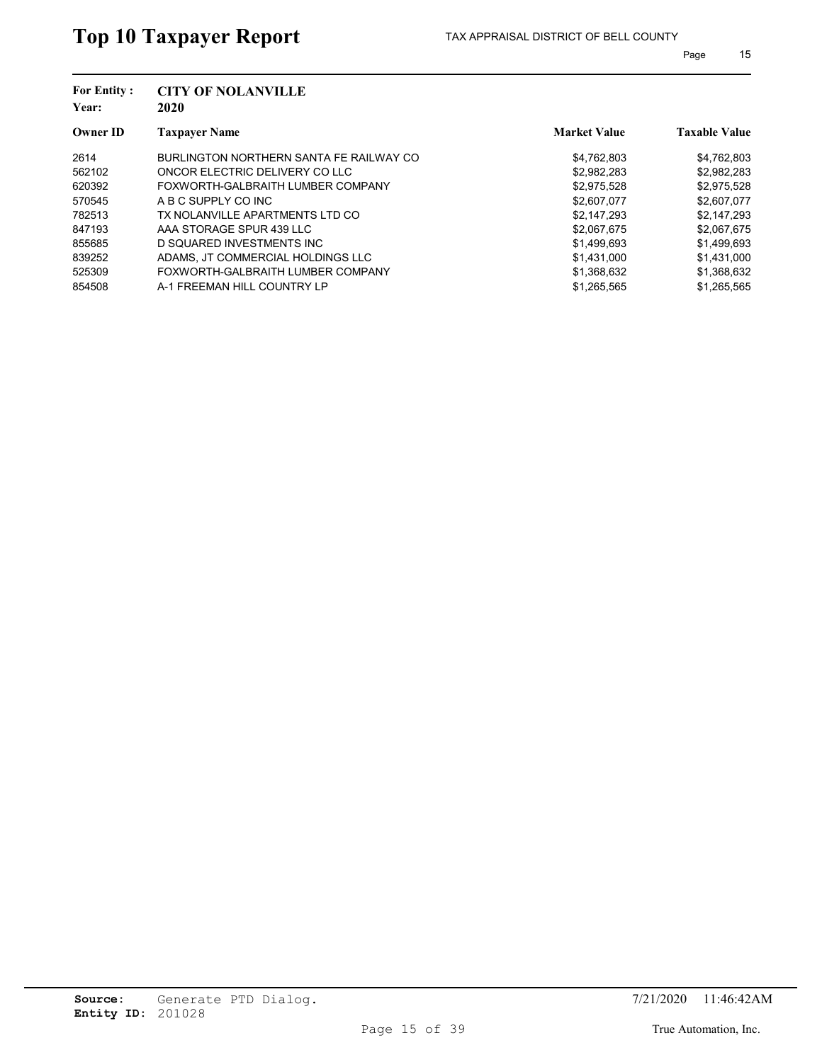| <b>For Entity:</b><br>Year: | <b>CITY OF NOLANVILLE</b><br>2020       |                     |                      |
|-----------------------------|-----------------------------------------|---------------------|----------------------|
| <b>Owner ID</b>             | <b>Taxpayer Name</b>                    | <b>Market Value</b> | <b>Taxable Value</b> |
| 2614                        | BURLINGTON NORTHERN SANTA FE RAILWAY CO | \$4,762,803         | \$4,762,803          |
| 562102                      | ONCOR ELECTRIC DELIVERY CO LLC          | \$2,982,283         | \$2,982,283          |
| 620392                      | FOXWORTH-GALBRAITH LUMBER COMPANY       | \$2,975,528         | \$2,975,528          |
| 570545                      | A B C SUPPLY CO INC                     | \$2,607,077         | \$2,607,077          |
| 782513                      | TX NOLANVILLE APARTMENTS LTD CO         | \$2,147,293         | \$2,147,293          |
| 847193                      | AAA STORAGE SPUR 439 LLC                | \$2,067,675         | \$2,067,675          |
| 855685                      | D SQUARED INVESTMENTS INC               | \$1,499,693         | \$1,499,693          |
| 839252                      | ADAMS. JT COMMERCIAL HOLDINGS LLC       | \$1.431.000         | \$1.431.000          |
| 525309                      | FOXWORTH-GALBRAITH LUMBER COMPANY       | \$1,368,632         | \$1,368,632          |
| 854508                      | A-1 FREEMAN HILL COUNTRY LP             | \$1,265,565         | \$1,265,565          |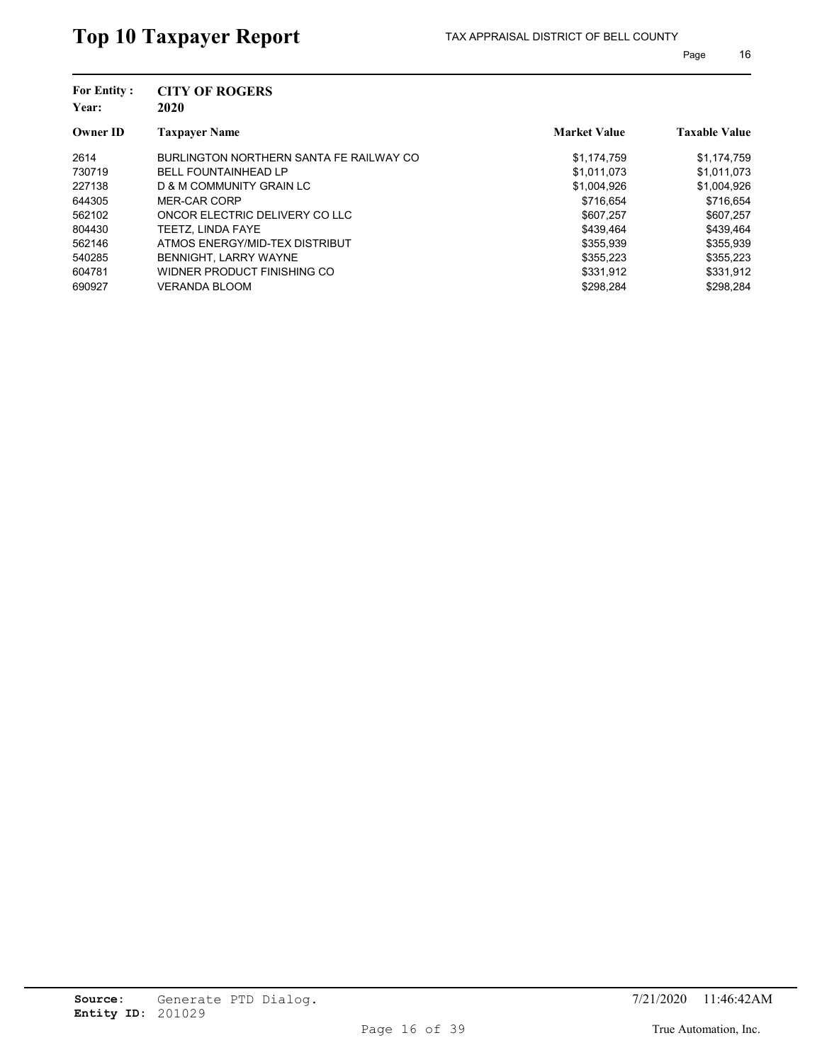| <b>For Entity:</b><br>Year: | <b>CITY OF ROGERS</b><br>2020           |                     |                      |
|-----------------------------|-----------------------------------------|---------------------|----------------------|
| <b>Owner ID</b>             | <b>Taxpayer Name</b>                    | <b>Market Value</b> | <b>Taxable Value</b> |
| 2614                        | BURLINGTON NORTHERN SANTA FE RAILWAY CO | \$1,174,759         | \$1,174,759          |
| 730719                      | <b>BELL FOUNTAINHEAD LP</b>             | \$1,011,073         | \$1,011,073          |
| 227138                      | D & M COMMUNITY GRAIN LC                | \$1,004,926         | \$1,004,926          |
| 644305                      | MER-CAR CORP                            | \$716.654           | \$716,654            |
| 562102                      | ONCOR ELECTRIC DELIVERY CO LLC          | \$607.257           | \$607,257            |
| 804430                      | TEETZ. LINDA FAYE                       | \$439.464           | \$439.464            |
| 562146                      | ATMOS ENERGY/MID-TEX DISTRIBUT          | \$355,939           | \$355,939            |
| 540285                      | BENNIGHT, LARRY WAYNE                   | \$355.223           | \$355.223            |
| 604781                      | WIDNER PRODUCT FINISHING CO             | \$331,912           | \$331,912            |
| 690927                      | <b>VERANDA BLOOM</b>                    | \$298.284           | \$298.284            |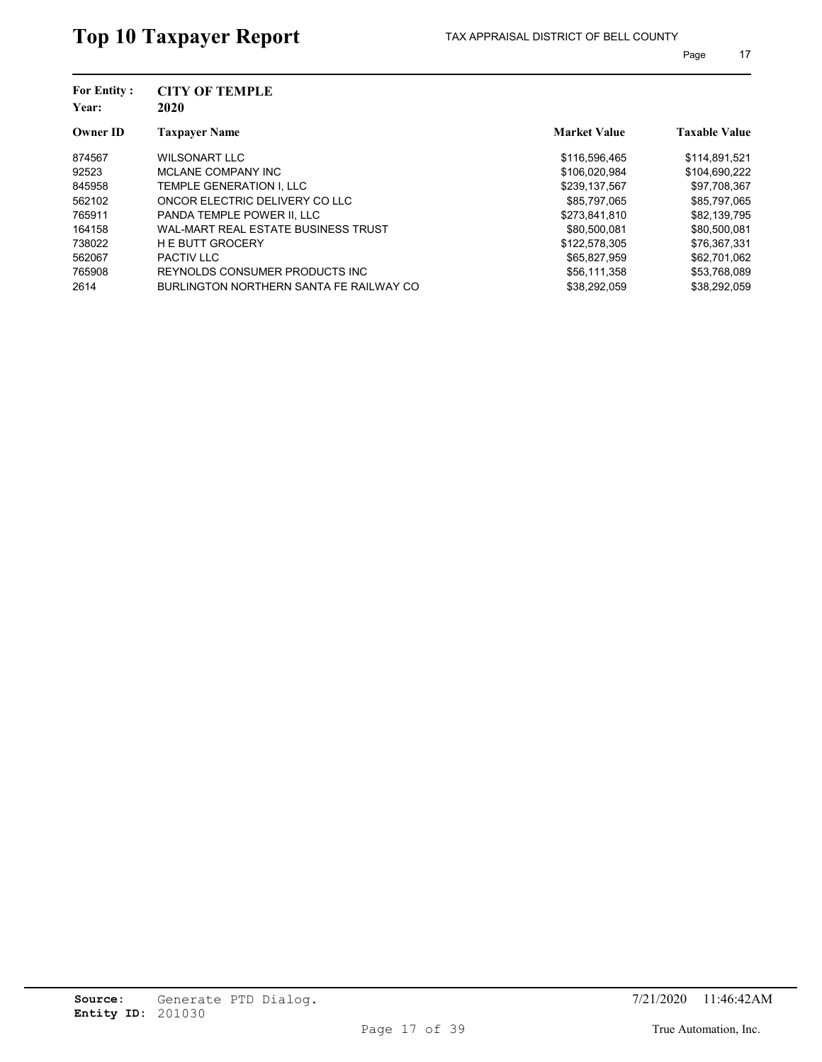| <b>For Entity:</b><br>Year: | <b>CITY OF TEMPLE</b><br>2020           |                     |                      |
|-----------------------------|-----------------------------------------|---------------------|----------------------|
| <b>Owner ID</b>             | <b>Taxpayer Name</b>                    | <b>Market Value</b> | <b>Taxable Value</b> |
| 874567                      | <b>WILSONART LLC</b>                    | \$116,596,465       | \$114,891,521        |
| 92523                       | MCLANE COMPANY INC                      | \$106.020.984       | \$104,690,222        |
| 845958                      | TEMPLE GENERATION I. LLC                | \$239.137.567       | \$97,708,367         |
| 562102                      | ONCOR ELECTRIC DELIVERY CO LLC          | \$85,797,065        | \$85,797,065         |
| 765911                      | PANDA TEMPLE POWER II. LLC              | \$273,841,810       | \$82,139,795         |
| 164158                      | WAL-MART REAL ESTATE BUSINESS TRUST     | \$80.500.081        | \$80,500,081         |
| 738022                      | <b>HE BUTT GROCERY</b>                  | \$122,578,305       | \$76,367,331         |
| 562067                      | <b>PACTIV LLC</b>                       | \$65.827.959        | \$62,701.062         |
| 765908                      | REYNOLDS CONSUMER PRODUCTS INC.         | \$56,111,358        | \$53,768,089         |
| 2614                        | BURLINGTON NORTHERN SANTA FE RAILWAY CO | \$38,292,059        | \$38,292,059         |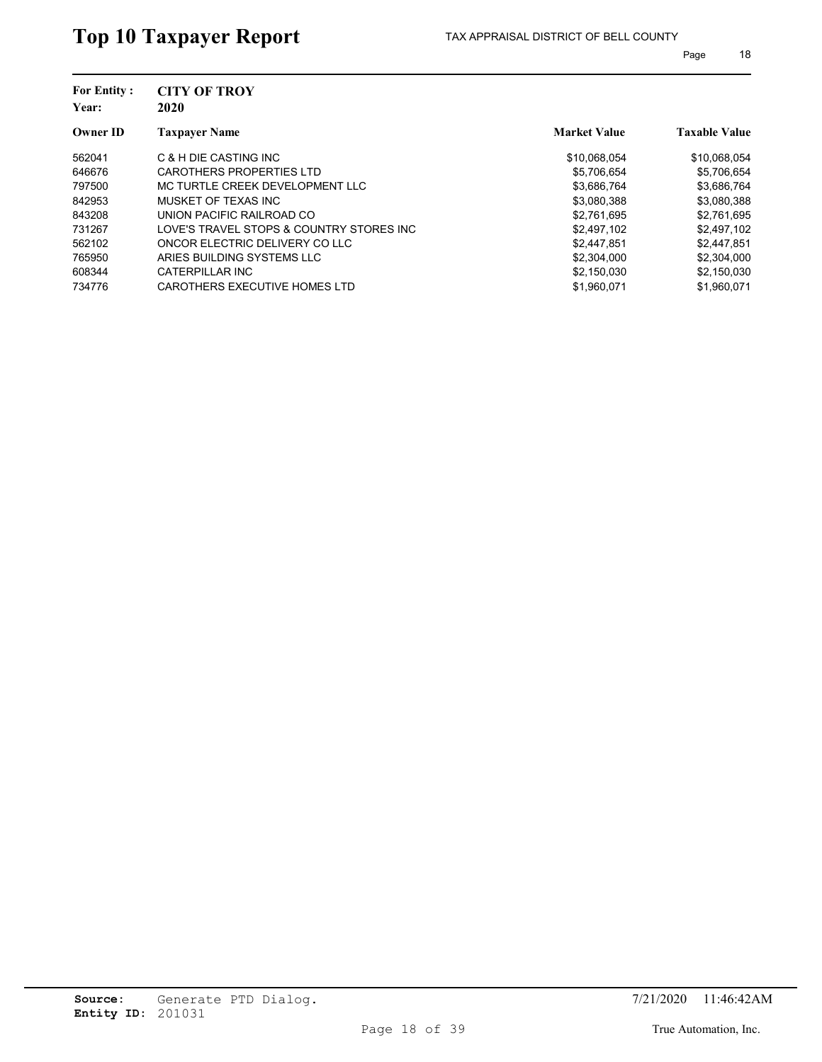| <b>CITY OF TROY</b><br>2020              |                     |                      |
|------------------------------------------|---------------------|----------------------|
| <b>Taxpayer Name</b>                     | <b>Market Value</b> | <b>Taxable Value</b> |
| C & H DIE CASTING INC                    | \$10,068,054        | \$10,068,054         |
| CAROTHERS PROPERTIES LTD                 | \$5,706,654         | \$5,706,654          |
| MC TURTLE CREEK DEVELOPMENT LLC          | \$3,686,764         | \$3,686,764          |
| MUSKET OF TEXAS INC                      | \$3,080,388         | \$3,080,388          |
| UNION PACIFIC RAILROAD CO                | \$2,761,695         | \$2,761,695          |
| LOVE'S TRAVEL STOPS & COUNTRY STORES INC | \$2,497,102         | \$2,497,102          |
| ONCOR ELECTRIC DELIVERY CO LLC           | \$2,447,851         | \$2,447,851          |
| ARIES BUILDING SYSTEMS LLC               | \$2,304,000         | \$2,304,000          |
| CATERPILLAR INC                          | \$2,150,030         | \$2,150,030          |
| CAROTHERS EXECUTIVE HOMES LTD            | \$1.960.071         | \$1.960.071          |
|                                          |                     |                      |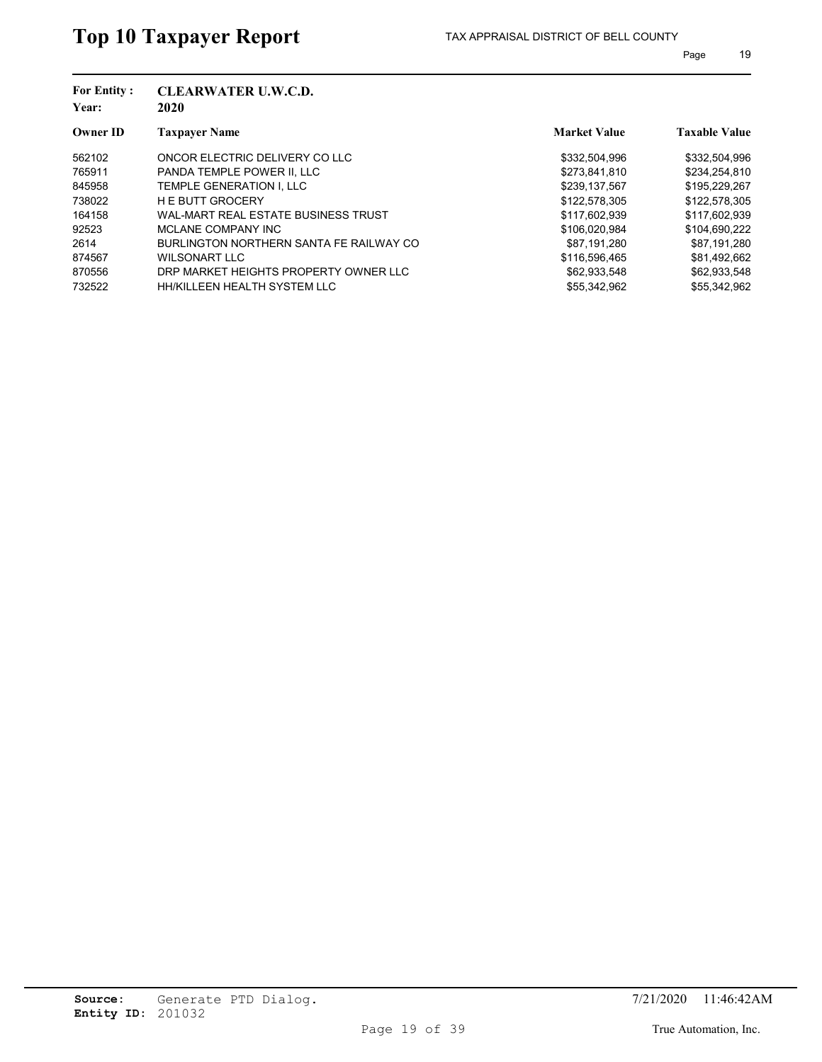| <b>For Entity:</b><br>Year: | <b>CLEARWATER U.W.C.D.</b><br>2020      |                     |                      |
|-----------------------------|-----------------------------------------|---------------------|----------------------|
| <b>Owner ID</b>             | <b>Taxpayer Name</b>                    | <b>Market Value</b> | <b>Taxable Value</b> |
| 562102                      | ONCOR ELECTRIC DELIVERY CO LLC          | \$332,504,996       | \$332,504,996        |
| 765911                      | PANDA TEMPLE POWER II. LLC              | \$273.841.810       | \$234,254,810        |
| 845958                      | TEMPLE GENERATION I. LLC                | \$239.137.567       | \$195,229,267        |
| 738022                      | <b>HE BUTT GROCERY</b>                  | \$122,578,305       | \$122,578,305        |
| 164158                      | WAL-MART REAL ESTATE BUSINESS TRUST     | \$117,602,939       | \$117,602,939        |
| 92523                       | MCLANE COMPANY INC                      | \$106.020.984       | \$104,690,222        |
| 2614                        | BURLINGTON NORTHERN SANTA FE RAILWAY CO | \$87,191,280        | \$87,191,280         |
| 874567                      | WILSONART LLC                           | \$116,596,465       | \$81,492,662         |
| 870556                      | DRP MARKET HEIGHTS PROPERTY OWNER LLC   | \$62,933,548        | \$62,933,548         |
| 732522                      | HH/KILLEEN HEALTH SYSTEM LLC            | \$55,342,962        | \$55,342,962         |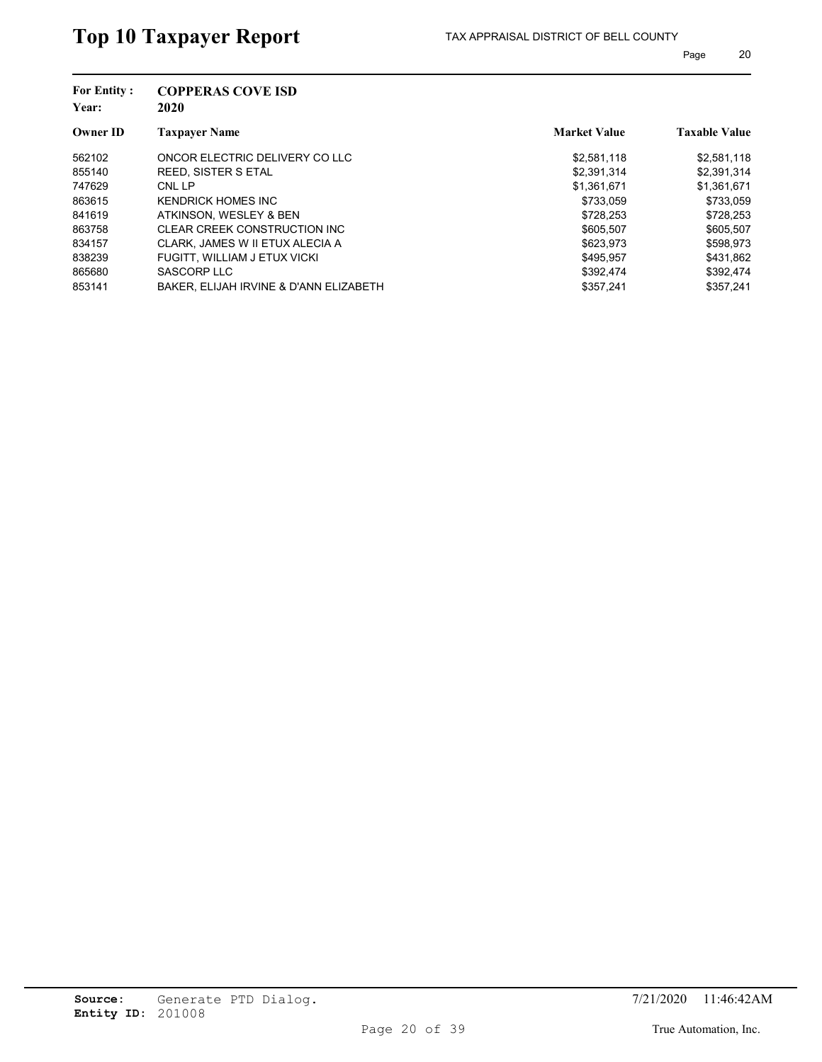| <b>For Entity:</b><br>Year: | <b>COPPERAS COVE ISD</b><br>2020       |                     |                      |
|-----------------------------|----------------------------------------|---------------------|----------------------|
| <b>Owner ID</b>             | <b>Taxpayer Name</b>                   | <b>Market Value</b> | <b>Taxable Value</b> |
| 562102                      | ONCOR ELECTRIC DELIVERY CO LLC         | \$2,581,118         | \$2,581,118          |
| 855140                      | REED, SISTER S ETAL                    | \$2,391,314         | \$2,391,314          |
| 747629                      | CNL LP                                 | \$1,361,671         | \$1,361,671          |
| 863615                      | KENDRICK HOMES INC                     | \$733,059           | \$733,059            |
| 841619                      | ATKINSON, WESLEY & BEN                 | \$728,253           | \$728,253            |
| 863758                      | CLEAR CREEK CONSTRUCTION INC           | \$605.507           | \$605,507            |
| 834157                      | CLARK, JAMES W II ETUX ALECIA A        | \$623.973           | \$598,973            |
| 838239                      | FUGITT, WILLIAM J ETUX VICKI           | \$495.957           | \$431.862            |
| 865680                      | SASCORP LLC                            | \$392,474           | \$392,474            |
| 853141                      | BAKER, ELIJAH IRVINE & D'ANN ELIZABETH | \$357.241           | \$357.241            |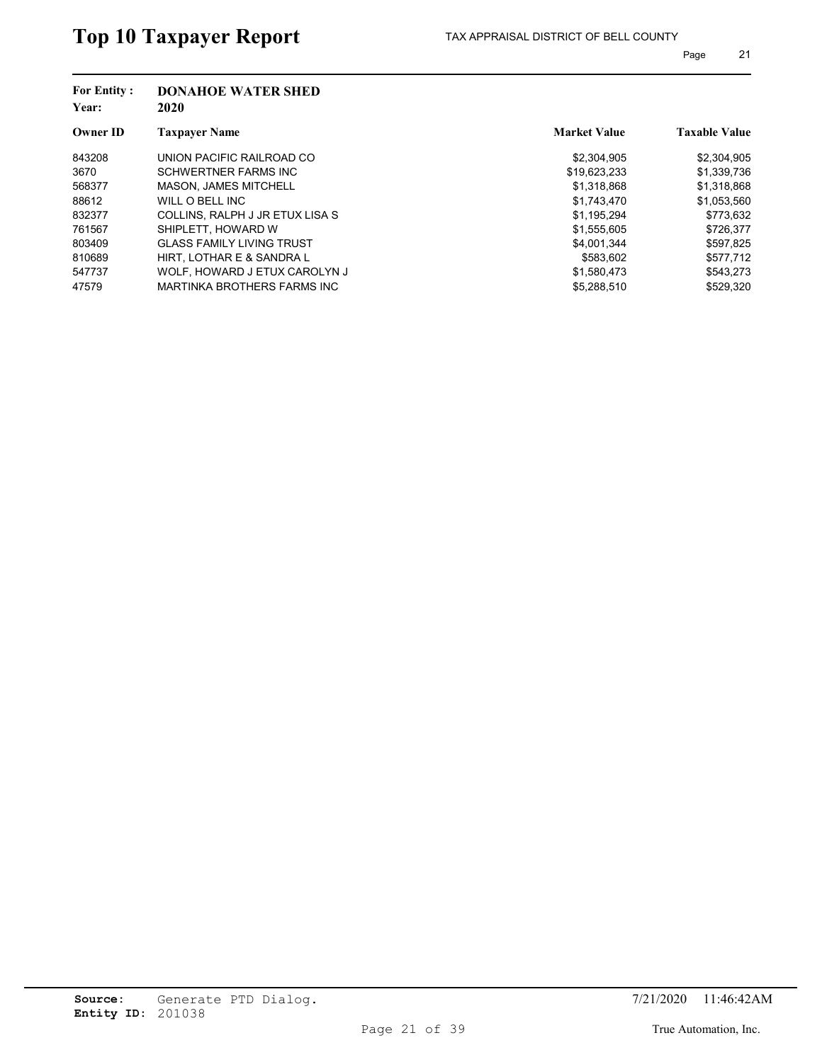| <b>For Entity:</b><br>Year: | <b>DONAHOE WATER SHED</b><br>2020 |                     |                      |
|-----------------------------|-----------------------------------|---------------------|----------------------|
| <b>Owner ID</b>             | <b>Taxpayer Name</b>              | <b>Market Value</b> | <b>Taxable Value</b> |
| 843208                      | UNION PACIFIC RAILROAD CO         | \$2,304,905         | \$2,304,905          |
| 3670                        | <b>SCHWERTNER FARMS INC</b>       | \$19.623.233        | \$1,339,736          |
| 568377                      | <b>MASON. JAMES MITCHELL</b>      | \$1,318,868         | \$1,318,868          |
| 88612                       | WILL O BELL INC                   | \$1,743,470         | \$1,053,560          |
| 832377                      | COLLINS, RALPH J JR ETUX LISA S   | \$1,195,294         | \$773,632            |
| 761567                      | SHIPLETT, HOWARD W                | \$1,555,605         | \$726,377            |
| 803409                      | <b>GLASS FAMILY LIVING TRUST</b>  | \$4,001,344         | \$597,825            |
| 810689                      | HIRT. LOTHAR E & SANDRA L         | \$583.602           | \$577.712            |
| 547737                      | WOLF. HOWARD J ETUX CAROLYN J     | \$1,580,473         | \$543,273            |
| 47579                       | MARTINKA BROTHERS FARMS INC       | \$5,288,510         | \$529.320            |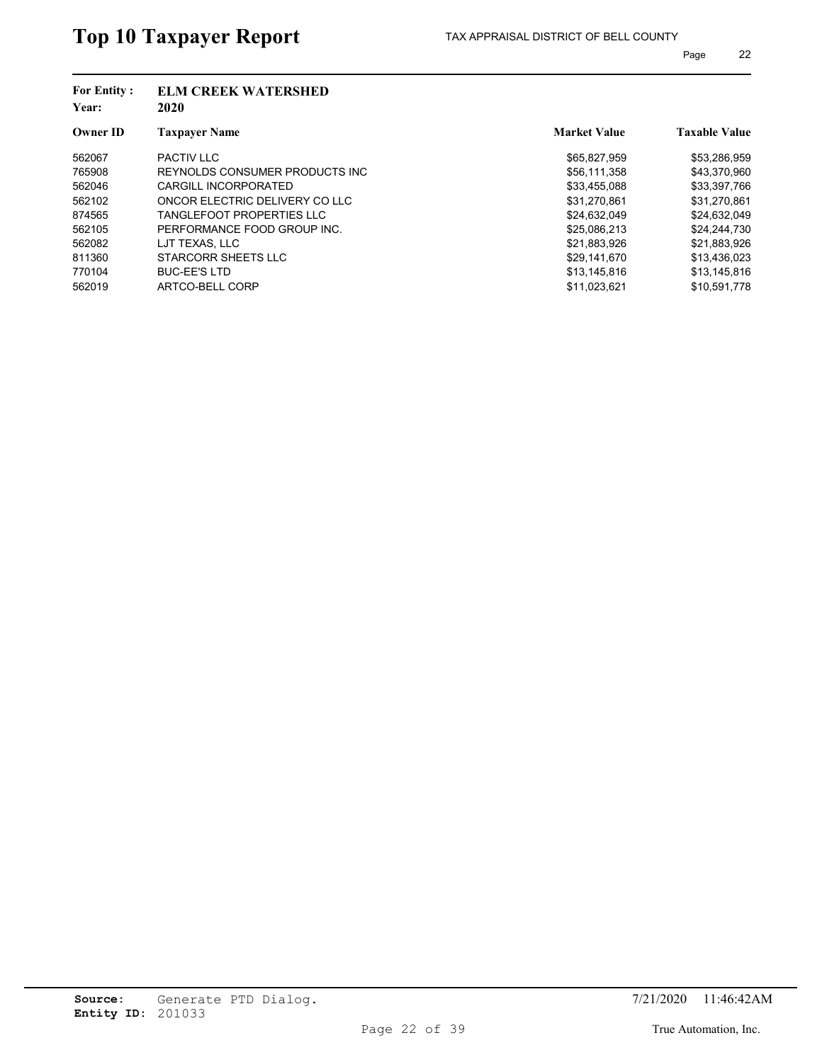| <b>For Entity:</b><br>Year: | <b>ELM CREEK WATERSHED</b><br>2020 |                     |                      |
|-----------------------------|------------------------------------|---------------------|----------------------|
| <b>Owner ID</b>             | <b>Taxpayer Name</b>               | <b>Market Value</b> | <b>Taxable Value</b> |
| 562067                      | <b>PACTIV LLC</b>                  | \$65,827,959        | \$53,286,959         |
| 765908                      | REYNOLDS CONSUMER PRODUCTS INC.    | \$56,111,358        | \$43,370,960         |
| 562046                      | CARGILL INCORPORATED               | \$33,455,088        | \$33,397,766         |
| 562102                      | ONCOR ELECTRIC DELIVERY CO LLC     | \$31,270,861        | \$31,270,861         |
| 874565                      | <b>TANGLEFOOT PROPERTIES LLC</b>   | \$24,632,049        | \$24,632,049         |
| 562105                      | PERFORMANCE FOOD GROUP INC.        | \$25.086.213        | \$24,244,730         |
| 562082                      | LJT TEXAS. LLC                     | \$21,883,926        | \$21,883,926         |
| 811360                      | STARCORR SHEETS LLC                | \$29,141,670        | \$13.436.023         |
| 770104                      | <b>BUC-EE'S LTD</b>                | \$13,145,816        | \$13,145,816         |
| 562019                      | ARTCO-BELL CORP                    | \$11,023,621        | \$10,591,778         |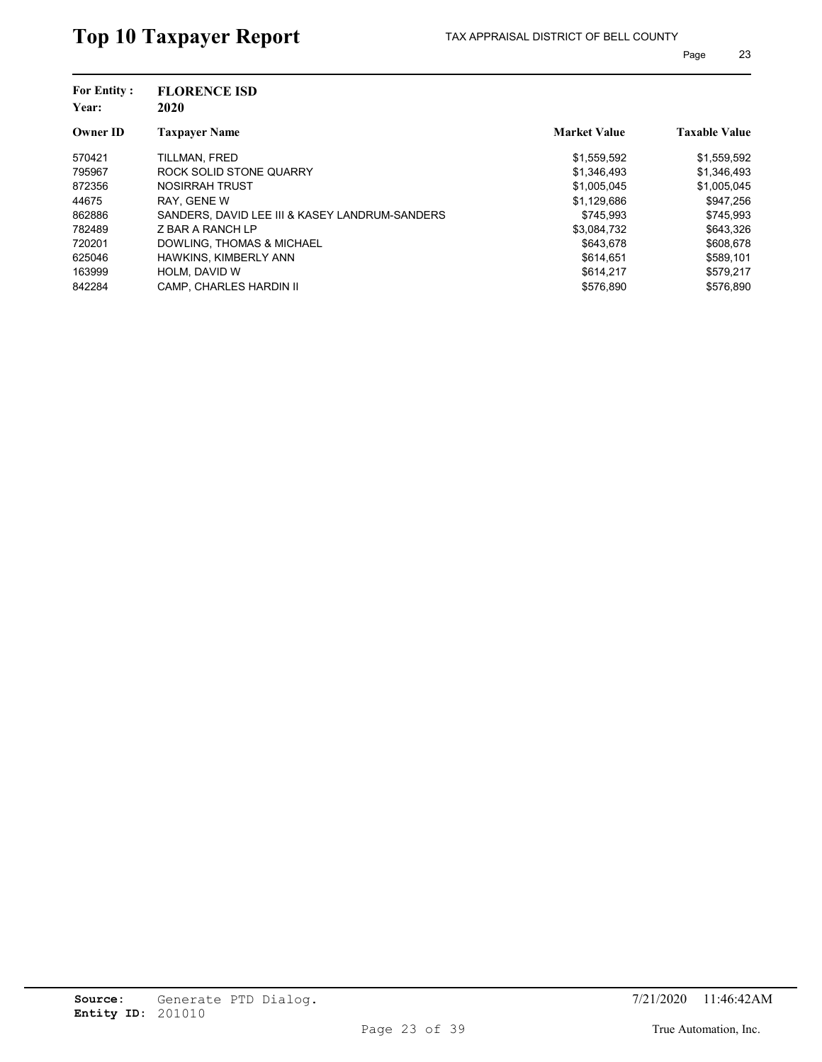| <b>For Entity:</b><br>Year: | <b>FLORENCE ISD</b><br>2020                    |                     |                      |
|-----------------------------|------------------------------------------------|---------------------|----------------------|
| <b>Owner ID</b>             | <b>Taxpayer Name</b>                           | <b>Market Value</b> | <b>Taxable Value</b> |
| 570421                      | TILLMAN, FRED                                  | \$1,559,592         | \$1,559,592          |
| 795967                      | ROCK SOLID STONE QUARRY                        | \$1,346,493         | \$1,346,493          |
| 872356                      | NOSIRRAH TRUST                                 | \$1.005.045         | \$1,005,045          |
| 44675                       | RAY, GENE W                                    | \$1,129,686         | \$947,256            |
| 862886                      | SANDERS, DAVID LEE III & KASEY LANDRUM-SANDERS | \$745.993           | \$745,993            |
| 782489                      | Z BAR A RANCH LP                               | \$3.084.732         | \$643.326            |
| 720201                      | DOWLING. THOMAS & MICHAEL                      | \$643.678           | \$608,678            |
| 625046                      | HAWKINS, KIMBERLY ANN                          | \$614.651           | \$589.101            |
| 163999                      | <b>HOLM. DAVID W</b>                           | \$614.217           | \$579.217            |
| 842284                      | <b>CAMP. CHARLES HARDIN II</b>                 | \$576.890           | \$576.890            |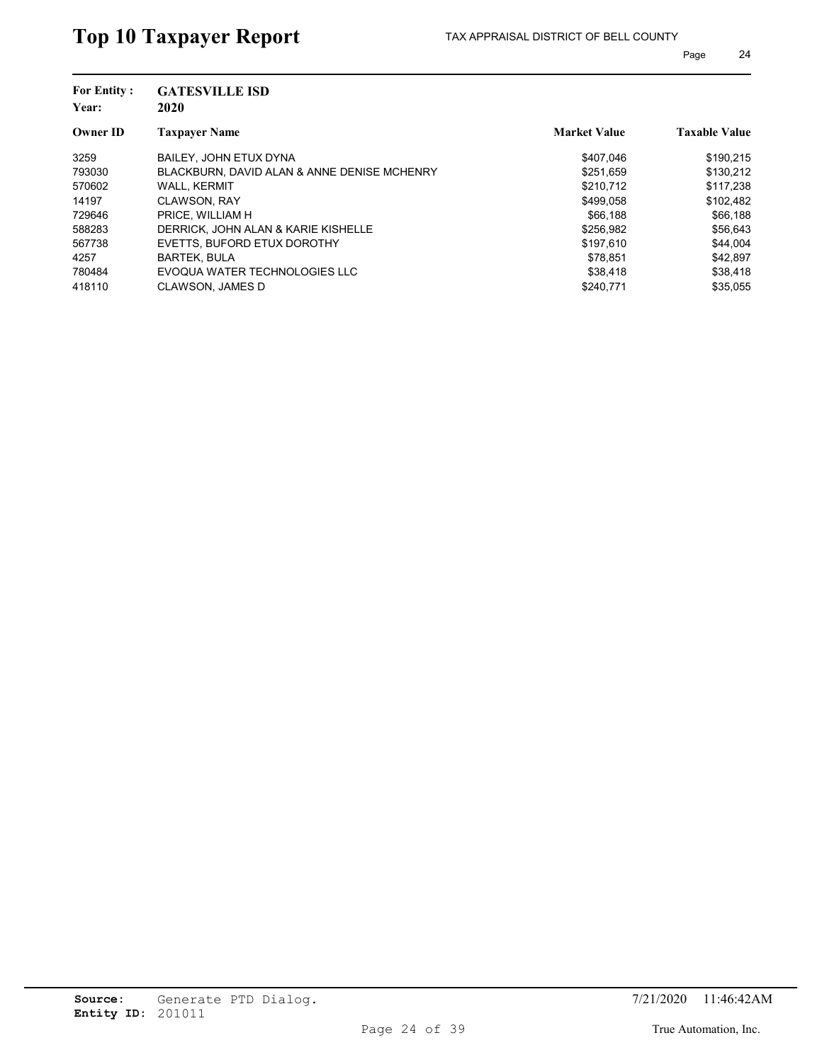| <b>For Entity:</b><br>Year: | <b>GATESVILLE ISD</b><br>2020               |                     |                      |
|-----------------------------|---------------------------------------------|---------------------|----------------------|
| <b>Owner ID</b>             | <b>Taxpayer Name</b>                        | <b>Market Value</b> | <b>Taxable Value</b> |
| 3259                        | BAILEY. JOHN ETUX DYNA                      | \$407.046           | \$190,215            |
| 793030                      | BLACKBURN, DAVID ALAN & ANNE DENISE MCHENRY | \$251.659           | \$130.212            |
| 570602                      | <b>WALL, KERMIT</b>                         | \$210.712           | \$117,238            |
| 14197                       | <b>CLAWSON, RAY</b>                         | \$499.058           | \$102,482            |
| 729646                      | PRICE. WILLIAM H                            | \$66,188            | \$66,188             |
| 588283                      | DERRICK. JOHN ALAN & KARIE KISHELLE         | \$256,982           | \$56,643             |
| 567738                      | EVETTS, BUFORD ETUX DOROTHY                 | \$197,610           | \$44,004             |
| 4257                        | <b>BARTEK, BULA</b>                         | \$78.851            | \$42,897             |
| 780484                      | EVOQUA WATER TECHNOLOGIES LLC               | \$38,418            | \$38,418             |
| 418110                      | <b>CLAWSON, JAMES D</b>                     | \$240.771           | \$35.055             |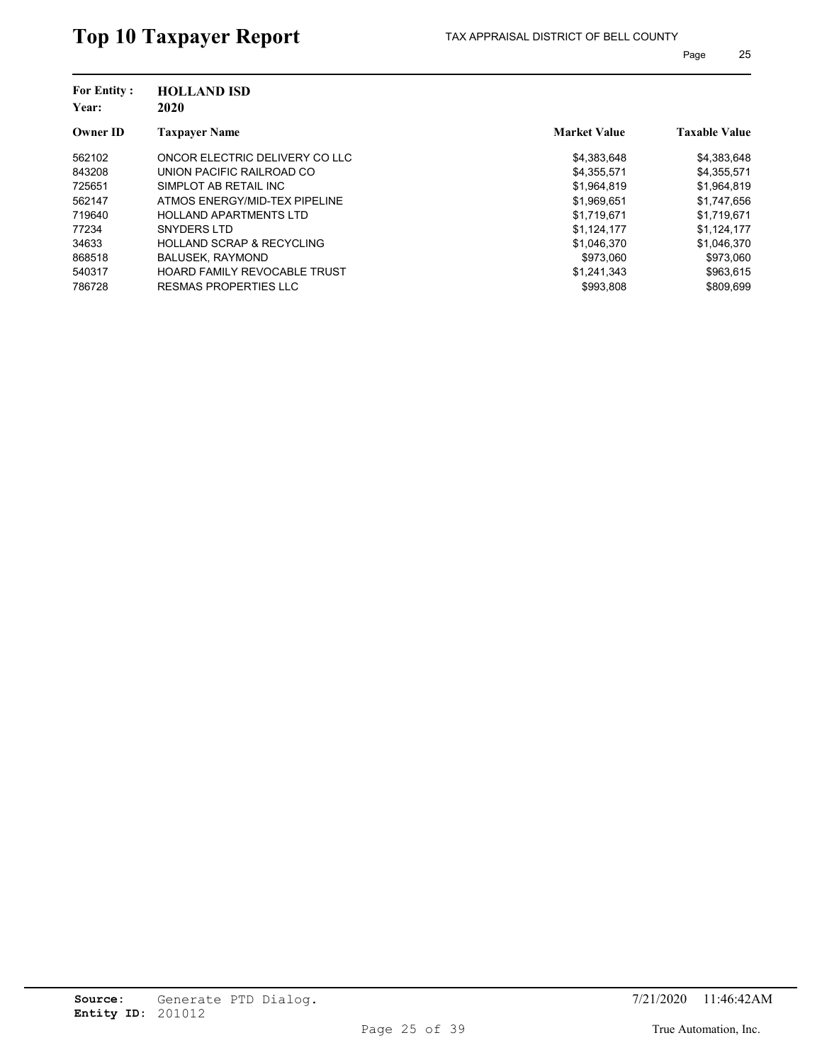| <b>For Entity:</b><br>Year: | <b>HOLLAND ISD</b><br>2020           |                     |                      |
|-----------------------------|--------------------------------------|---------------------|----------------------|
| <b>Owner ID</b>             | <b>Taxpayer Name</b>                 | <b>Market Value</b> | <b>Taxable Value</b> |
| 562102                      | ONCOR ELECTRIC DELIVERY CO LLC       | \$4,383,648         | \$4,383,648          |
| 843208                      | UNION PACIFIC RAILROAD CO            | \$4,355,571         | \$4,355,571          |
| 725651                      | SIMPLOT AB RETAIL INC                | \$1.964.819         | \$1,964,819          |
| 562147                      | ATMOS ENERGY/MID-TEX PIPELINE        | \$1,969,651         | \$1,747,656          |
| 719640                      | <b>HOLLAND APARTMENTS LTD</b>        | \$1,719,671         | \$1,719,671          |
| 77234                       | SNYDERS LTD                          | \$1,124,177         | \$1,124,177          |
| 34633                       | <b>HOLLAND SCRAP &amp; RECYCLING</b> | \$1,046,370         | \$1,046,370          |
| 868518                      | <b>BALUSEK, RAYMOND</b>              | \$973.060           | \$973.060            |
| 540317                      | <b>HOARD FAMILY REVOCABLE TRUST</b>  | \$1,241,343         | \$963,615            |
| 786728                      | RESMAS PROPERTIES LLC                | \$993.808           | \$809.699            |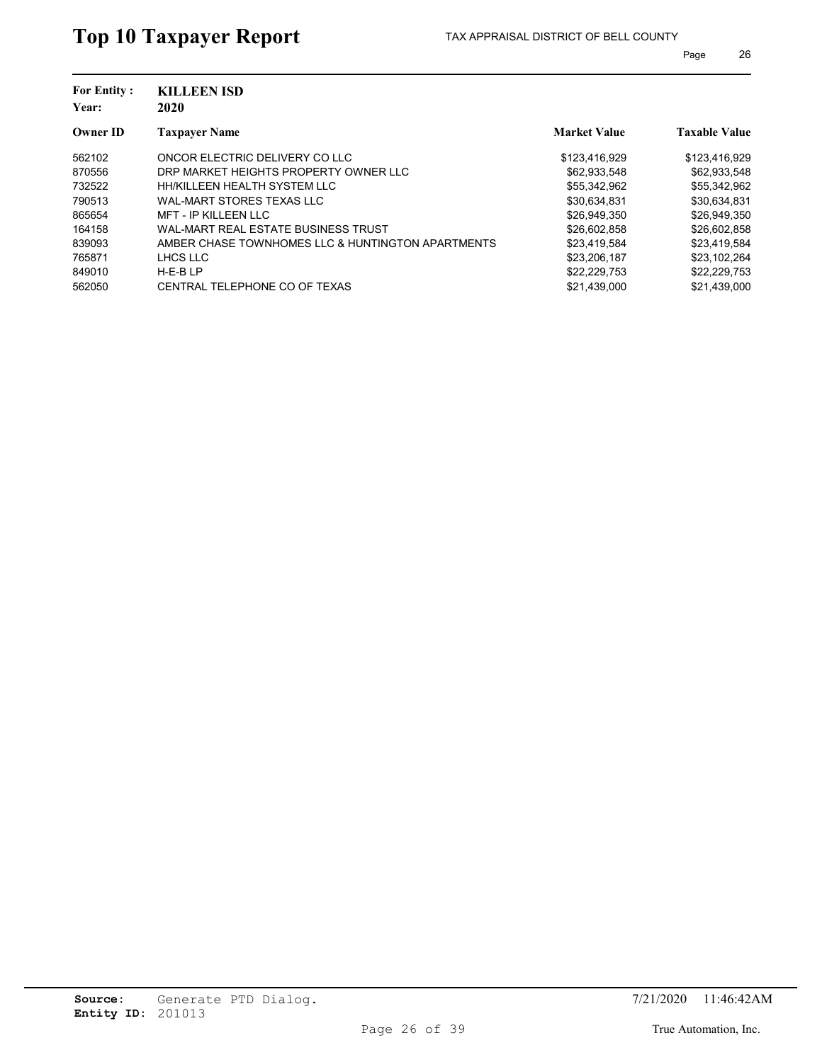| <b>For Entity:</b><br>Year: | <b>KILLEEN ISD</b><br>2020                        |                     |                      |
|-----------------------------|---------------------------------------------------|---------------------|----------------------|
| <b>Owner ID</b>             | <b>Taxpayer Name</b>                              | <b>Market Value</b> | <b>Taxable Value</b> |
| 562102                      | ONCOR ELECTRIC DELIVERY CO LLC                    | \$123,416,929       | \$123,416,929        |
| 870556                      | DRP MARKET HEIGHTS PROPERTY OWNER LLC             | \$62.933.548        | \$62,933,548         |
| 732522                      | HH/KILLEEN HEALTH SYSTEM LLC                      | \$55,342,962        | \$55,342,962         |
| 790513                      | WAL-MART STORES TEXAS LLC                         | \$30.634.831        | \$30,634,831         |
| 865654                      | <b>MFT - IP KILLEEN LLC</b>                       | \$26,949,350        | \$26,949,350         |
| 164158                      | WAL-MART REAL ESTATE BUSINESS TRUST               | \$26,602,858        | \$26,602,858         |
| 839093                      | AMBER CHASE TOWNHOMES LLC & HUNTINGTON APARTMENTS | \$23,419,584        | \$23,419,584         |
| 765871                      | LHCS LLC                                          | \$23,206,187        | \$23,102,264         |
| 849010                      | $H-E-BLP$                                         | \$22,229,753        | \$22,229,753         |
| 562050                      | CENTRAL TELEPHONE CO OF TEXAS                     | \$21.439.000        | \$21,439,000         |
|                             |                                                   |                     |                      |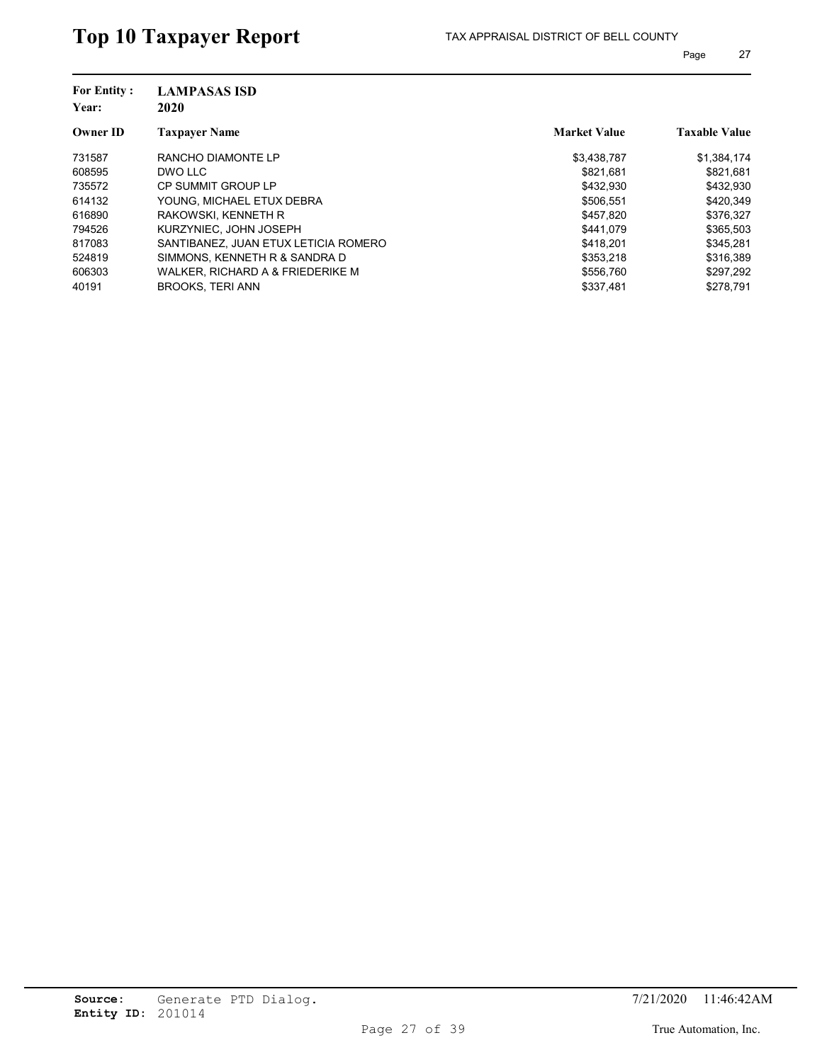| <b>For Entity:</b><br>Year: | <b>LAMPASAS ISD</b><br>2020          |                     |                      |
|-----------------------------|--------------------------------------|---------------------|----------------------|
| <b>Owner ID</b>             | <b>Taxpayer Name</b>                 | <b>Market Value</b> | <b>Taxable Value</b> |
| 731587                      | RANCHO DIAMONTE LP                   | \$3,438,787         | \$1,384,174          |
| 608595                      | DWO LLC                              | \$821.681           | \$821,681            |
| 735572                      | CP SUMMIT GROUP LP                   | \$432.930           | \$432.930            |
| 614132                      | YOUNG. MICHAEL ETUX DEBRA            | \$506.551           | \$420,349            |
| 616890                      | RAKOWSKI, KENNETH R                  | \$457.820           | \$376,327            |
| 794526                      | KURZYNIEC. JOHN JOSEPH               | \$441.079           | \$365,503            |
| 817083                      | SANTIBANEZ, JUAN ETUX LETICIA ROMERO | \$418.201           | \$345.281            |
| 524819                      | SIMMONS, KENNETH R & SANDRA D        | \$353.218           | \$316.389            |
| 606303                      | WALKER, RICHARD A & FRIEDERIKE M     | \$556,760           | \$297,292            |
| 40191                       | <b>BROOKS, TERI ANN</b>              | \$337,481           | \$278.791            |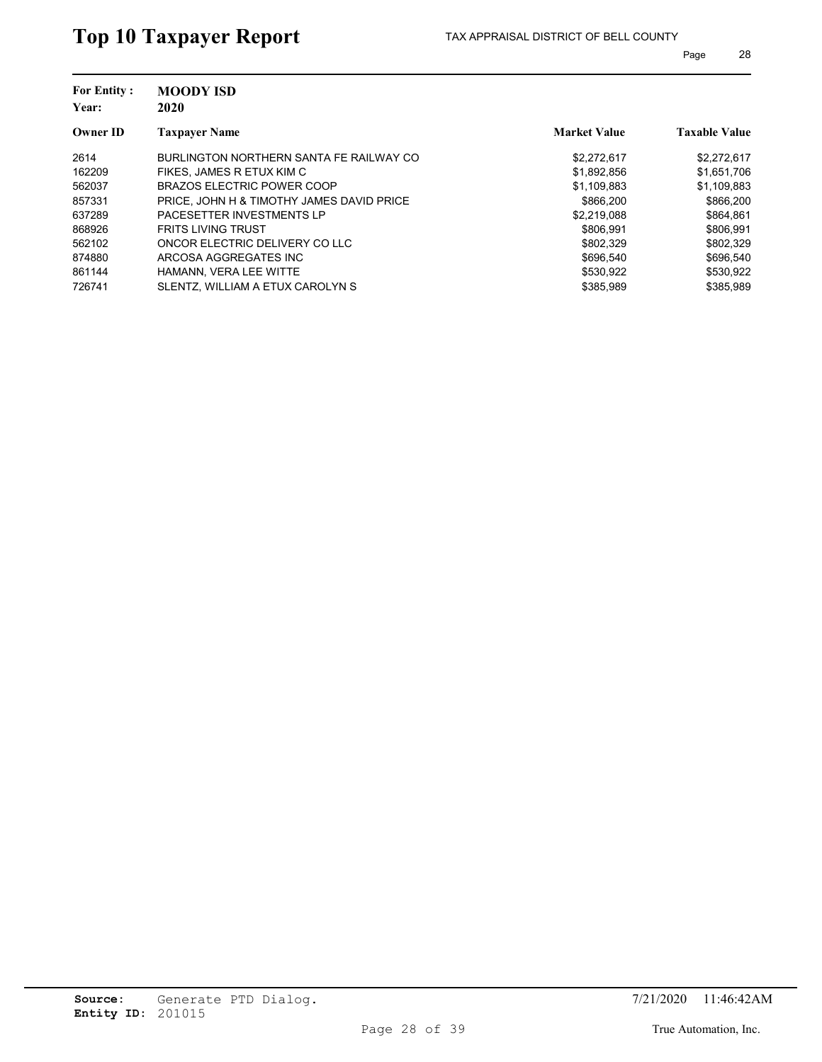| <b>For Entity:</b><br>Year: | <b>MOODY ISD</b><br>2020                  |                     |                      |
|-----------------------------|-------------------------------------------|---------------------|----------------------|
| <b>Owner ID</b>             | <b>Taxpayer Name</b>                      | <b>Market Value</b> | <b>Taxable Value</b> |
| 2614                        | BURLINGTON NORTHERN SANTA FE RAILWAY CO   | \$2,272,617         | \$2,272,617          |
| 162209                      | FIKES, JAMES R ETUX KIM C                 | \$1,892,856         | \$1,651,706          |
| 562037                      | BRAZOS ELECTRIC POWER COOP                | \$1,109,883         | \$1,109,883          |
| 857331                      | PRICE, JOHN H & TIMOTHY JAMES DAVID PRICE | \$866,200           | \$866,200            |
| 637289                      | PACESETTER INVESTMENTS LP                 | \$2.219.088         | \$864,861            |
| 868926                      | <b>FRITS LIVING TRUST</b>                 | \$806.991           | \$806.991            |
| 562102                      | ONCOR ELECTRIC DELIVERY CO LLC            | \$802,329           | \$802,329            |
| 874880                      | ARCOSA AGGREGATES INC                     | \$696.540           | \$696.540            |
| 861144                      | HAMANN, VERA LEE WITTE                    | \$530.922           | \$530,922            |
| 726741                      | SLENTZ. WILLIAM A ETUX CAROLYN S          | \$385.989           | \$385.989            |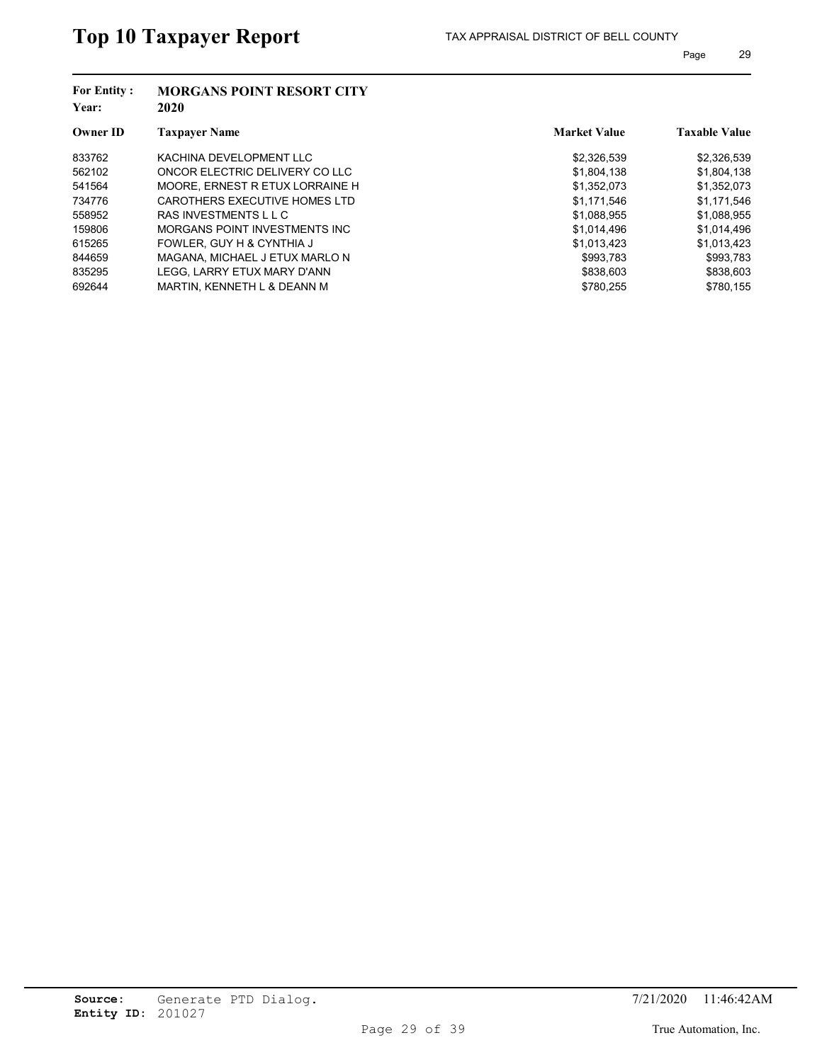| <b>For Entity:</b><br>Year: | <b>MORGANS POINT RESORT CITY</b><br>2020 |                     |                      |
|-----------------------------|------------------------------------------|---------------------|----------------------|
| <b>Owner ID</b>             | <b>Taxpayer Name</b>                     | <b>Market Value</b> | <b>Taxable Value</b> |
| 833762                      | KACHINA DEVELOPMENT LLC                  | \$2,326,539         | \$2,326,539          |
| 562102                      | ONCOR ELECTRIC DELIVERY CO LLC           | \$1,804,138         | \$1,804,138          |
| 541564                      | MOORE, ERNEST R ETUX LORRAINE H          | \$1.352.073         | \$1,352,073          |
| 734776                      | CAROTHERS EXECUTIVE HOMES LTD            | \$1.171.546         | \$1,171,546          |
| 558952                      | RAS INVESTMENTS L L C                    | \$1,088,955         | \$1,088,955          |
| 159806                      | MORGANS POINT INVESTMENTS INC            | \$1.014.496         | \$1.014.496          |
| 615265                      | FOWLER, GUY H & CYNTHIA J                | \$1,013,423         | \$1,013,423          |
| 844659                      | MAGANA, MICHAEL J ETUX MARLO N           | \$993.783           | \$993.783            |
| 835295                      | LEGG. LARRY ETUX MARY D'ANN              | \$838,603           | \$838,603            |
| 692644                      | MARTIN, KENNETH L & DEANN M              | \$780.255           | \$780.155            |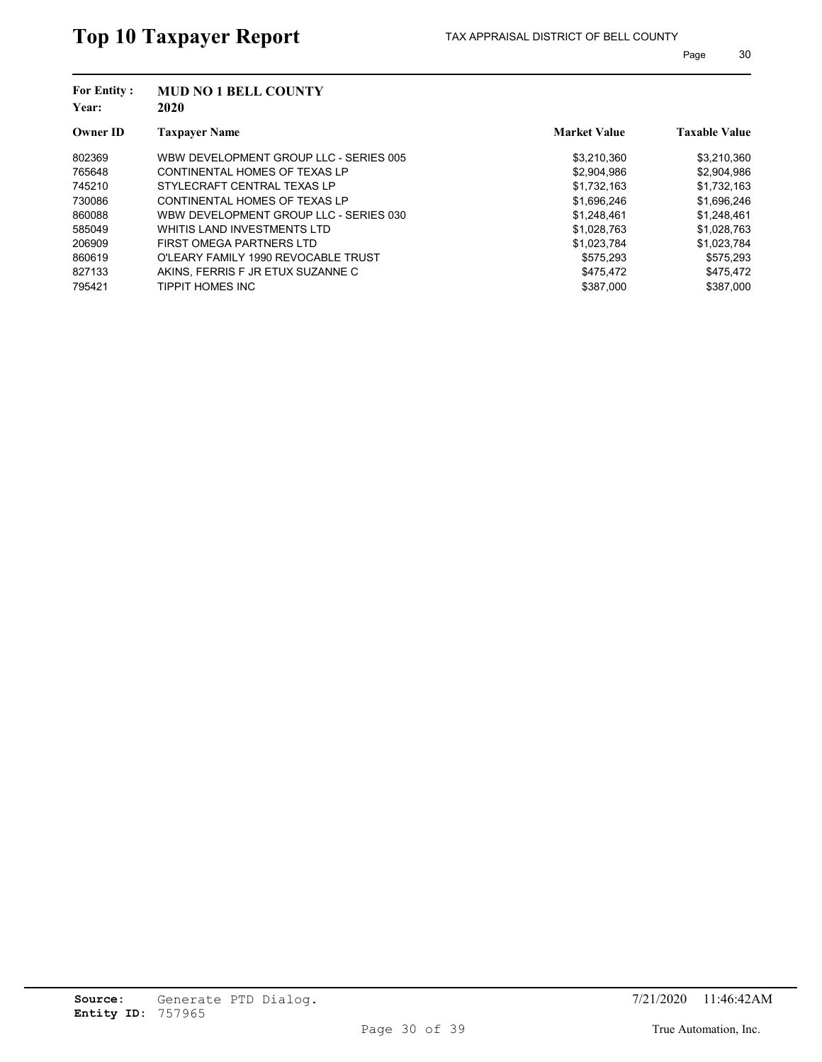| <b>For Entity:</b><br>Year: | <b>MUD NO 1 BELL COUNTY</b><br>2020    |                     |                      |
|-----------------------------|----------------------------------------|---------------------|----------------------|
| <b>Owner ID</b>             | <b>Taxpayer Name</b>                   | <b>Market Value</b> | <b>Taxable Value</b> |
| 802369                      | WBW DEVELOPMENT GROUP LLC - SERIES 005 | \$3,210,360         | \$3,210,360          |
| 765648                      | CONTINENTAL HOMES OF TEXAS LP          | \$2,904,986         | \$2,904,986          |
| 745210                      | STYLECRAFT CENTRAL TEXAS LP            | \$1.732.163         | \$1,732,163          |
| 730086                      | CONTINENTAL HOMES OF TEXAS LP          | \$1,696,246         | \$1,696,246          |
| 860088                      | WBW DEVELOPMENT GROUP LLC - SERIES 030 | \$1,248,461         | \$1,248,461          |
| 585049                      | WHITIS LAND INVESTMENTS LTD            | \$1.028.763         | \$1,028,763          |
| 206909                      | FIRST OMEGA PARTNERS LTD               | \$1,023,784         | \$1,023,784          |
| 860619                      | O'LEARY FAMILY 1990 REVOCABLE TRUST    | \$575.293           | \$575.293            |
| 827133                      | AKINS. FERRIS F JR ETUX SUZANNE C      | \$475.472           | \$475,472            |
| 795421                      | TIPPIT HOMES INC                       | \$387.000           | \$387.000            |
|                             |                                        |                     |                      |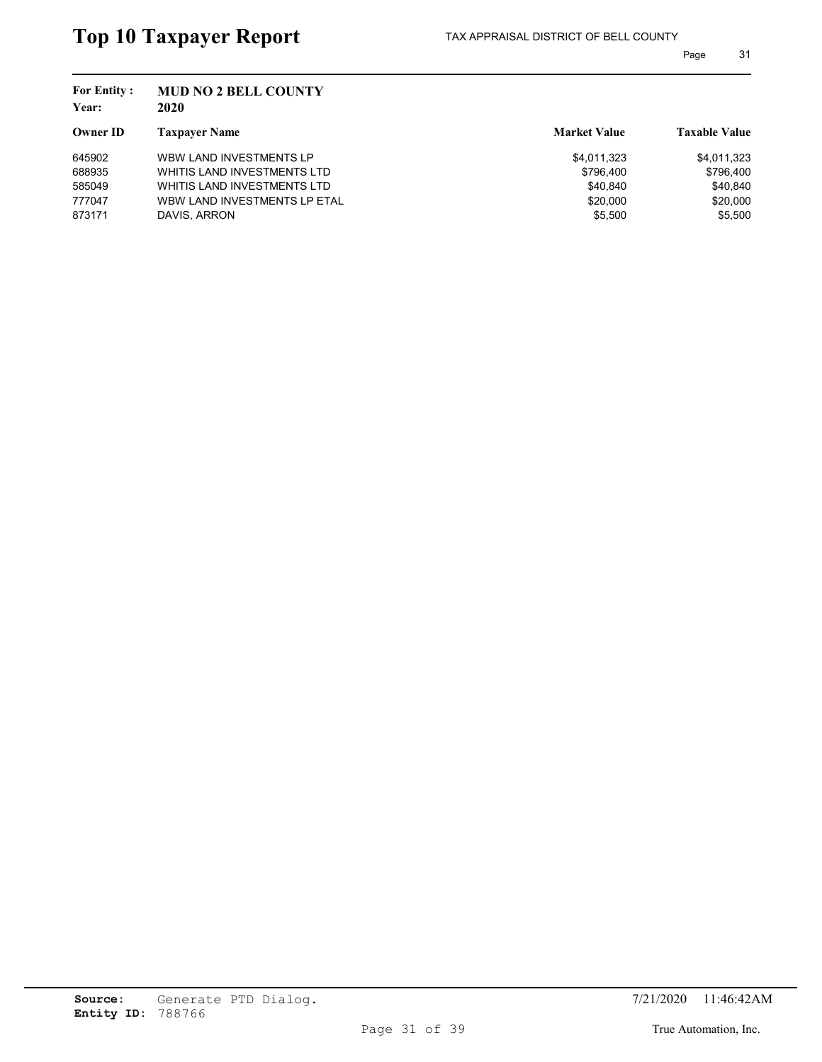| <b>MUD NO 2 BELL COUNTY</b><br>2020 |                     |                      |
|-------------------------------------|---------------------|----------------------|
| <b>Taxpayer Name</b>                | <b>Market Value</b> | <b>Taxable Value</b> |
| WBW LAND INVESTMENTS LP             | \$4,011,323         | \$4,011,323          |
| WHITIS LAND INVESTMENTS LTD         | \$796,400           | \$796,400            |
| WHITIS LAND INVESTMENTS LTD         | \$40.840            | \$40,840             |
| WBW LAND INVESTMENTS LP ETAL        | \$20,000            | \$20,000             |
| DAVIS, ARRON                        | \$5.500             | \$5.500              |
|                                     |                     |                      |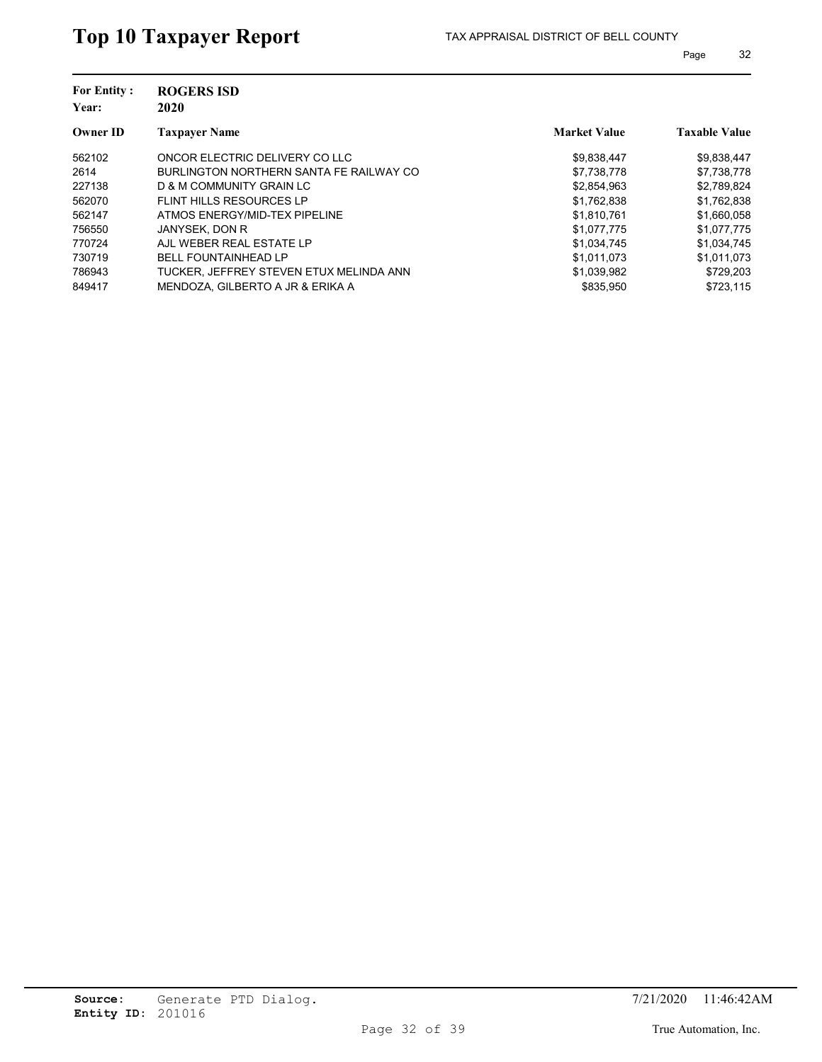| <b>For Entity:</b><br>Year: | <b>ROGERS ISD</b><br>2020               |                     |                      |
|-----------------------------|-----------------------------------------|---------------------|----------------------|
| <b>Owner ID</b>             | <b>Taxpayer Name</b>                    | <b>Market Value</b> | <b>Taxable Value</b> |
| 562102                      | ONCOR ELECTRIC DELIVERY CO LLC          | \$9,838,447         | \$9,838,447          |
| 2614                        | BURLINGTON NORTHERN SANTA FE RAILWAY CO | \$7,738,778         | \$7,738,778          |
| 227138                      | D & M COMMUNITY GRAIN LC                | \$2.854.963         | \$2,789,824          |
| 562070                      | FLINT HILLS RESOURCES LP                | \$1,762,838         | \$1,762,838          |
| 562147                      | ATMOS ENERGY/MID-TEX PIPELINE           | \$1.810.761         | \$1,660,058          |
| 756550                      | JANYSEK, DON R                          | \$1.077.775         | \$1,077,775          |
| 770724                      | AJL WEBER REAL ESTATE LP                | \$1,034,745         | \$1,034,745          |
| 730719                      | <b>BELL FOUNTAINHEAD LP</b>             | \$1.011.073         | \$1.011.073          |
| 786943                      | TUCKER. JEFFREY STEVEN ETUX MELINDA ANN | \$1,039,982         | \$729,203            |
| 849417                      | MENDOZA. GILBERTO A JR & ERIKA A        | \$835.950           | \$723.115            |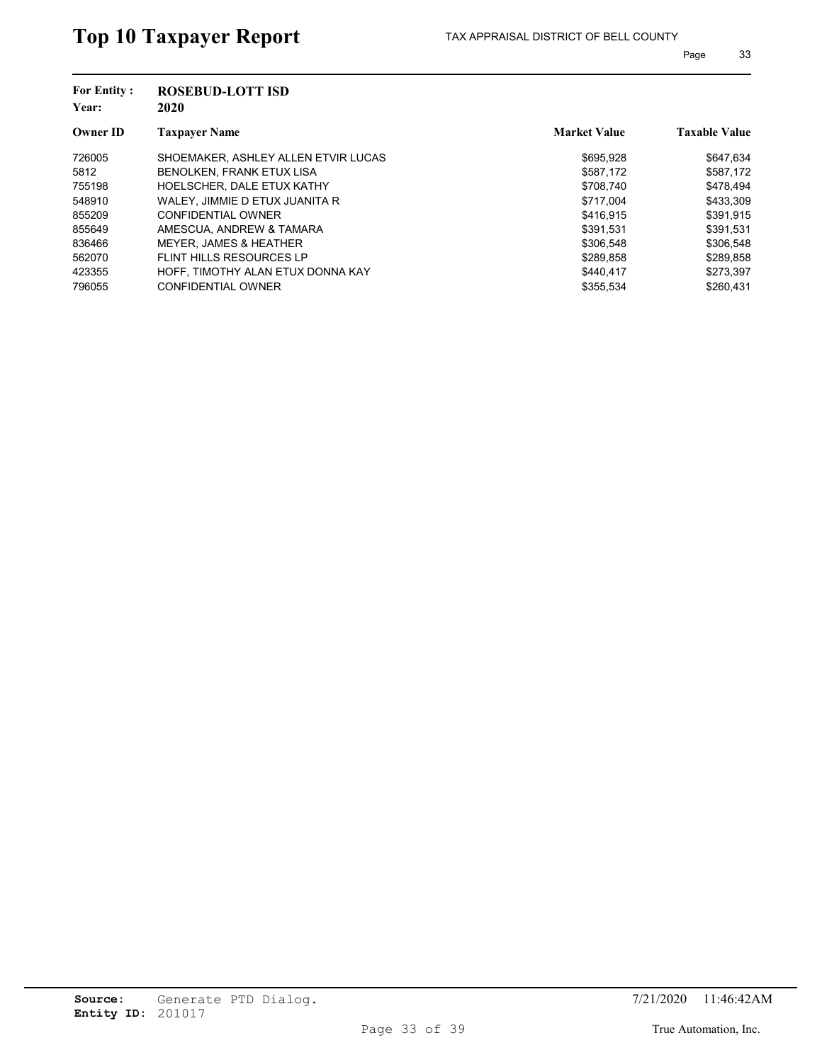| <b>For Entity:</b><br>Year: | <b>ROSEBUD-LOTT ISD</b><br>2020     |                     |                      |
|-----------------------------|-------------------------------------|---------------------|----------------------|
| <b>Owner ID</b>             | <b>Taxpayer Name</b>                | <b>Market Value</b> | <b>Taxable Value</b> |
| 726005                      | SHOEMAKER, ASHLEY ALLEN ETVIR LUCAS | \$695.928           | \$647.634            |
| 5812                        | BENOLKEN, FRANK ETUX LISA           | \$587,172           | \$587,172            |
| 755198                      | HOELSCHER, DALE ETUX KATHY          | \$708.740           | \$478.494            |
| 548910                      | WALEY, JIMMIE D ETUX JUANITA R      | \$717.004           | \$433,309            |
| 855209                      | CONFIDENTIAL OWNER                  | \$416,915           | \$391,915            |
| 855649                      | AMESCUA, ANDREW & TAMARA            | \$391.531           | \$391,531            |
| 836466                      | <b>MEYER, JAMES &amp; HEATHER</b>   | \$306.548           | \$306,548            |
| 562070                      | FLINT HILLS RESOURCES LP            | \$289.858           | \$289.858            |
| 423355                      | HOFF. TIMOTHY ALAN ETUX DONNA KAY   | \$440.417           | \$273,397            |
| 796055                      | <b>CONFIDENTIAL OWNER</b>           | \$355.534           | \$260.431            |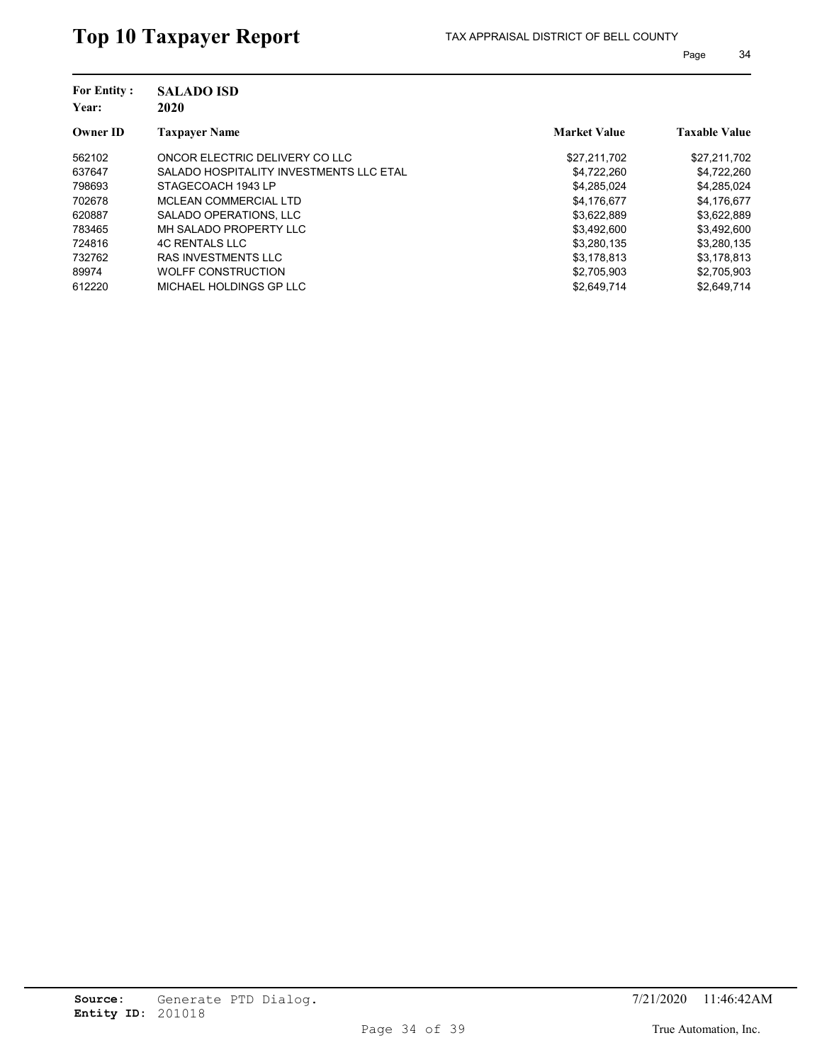| <b>SALADO ISD</b><br>2020               |                     |                      |
|-----------------------------------------|---------------------|----------------------|
| <b>Taxpayer Name</b>                    | <b>Market Value</b> | <b>Taxable Value</b> |
| ONCOR ELECTRIC DELIVERY CO LLC          | \$27,211,702        | \$27,211,702         |
| SALADO HOSPITALITY INVESTMENTS LLC ETAL | \$4,722,260         | \$4,722,260          |
| STAGECOACH 1943 LP                      | \$4,285,024         | \$4,285,024          |
| MCLEAN COMMERCIAL LTD                   | \$4,176,677         | \$4,176,677          |
| SALADO OPERATIONS, LLC                  | \$3,622,889         | \$3,622,889          |
| MH SALADO PROPERTY LLC                  | \$3,492,600         | \$3,492,600          |
| <b>4C RENTALS LLC</b>                   | \$3,280,135         | \$3,280,135          |
| <b>RAS INVESTMENTS LLC</b>              | \$3,178,813         | \$3,178,813          |
| WOLFF CONSTRUCTION                      | \$2,705,903         | \$2,705,903          |
| MICHAEL HOLDINGS GP LLC                 | \$2,649,714         | \$2.649.714          |
|                                         |                     |                      |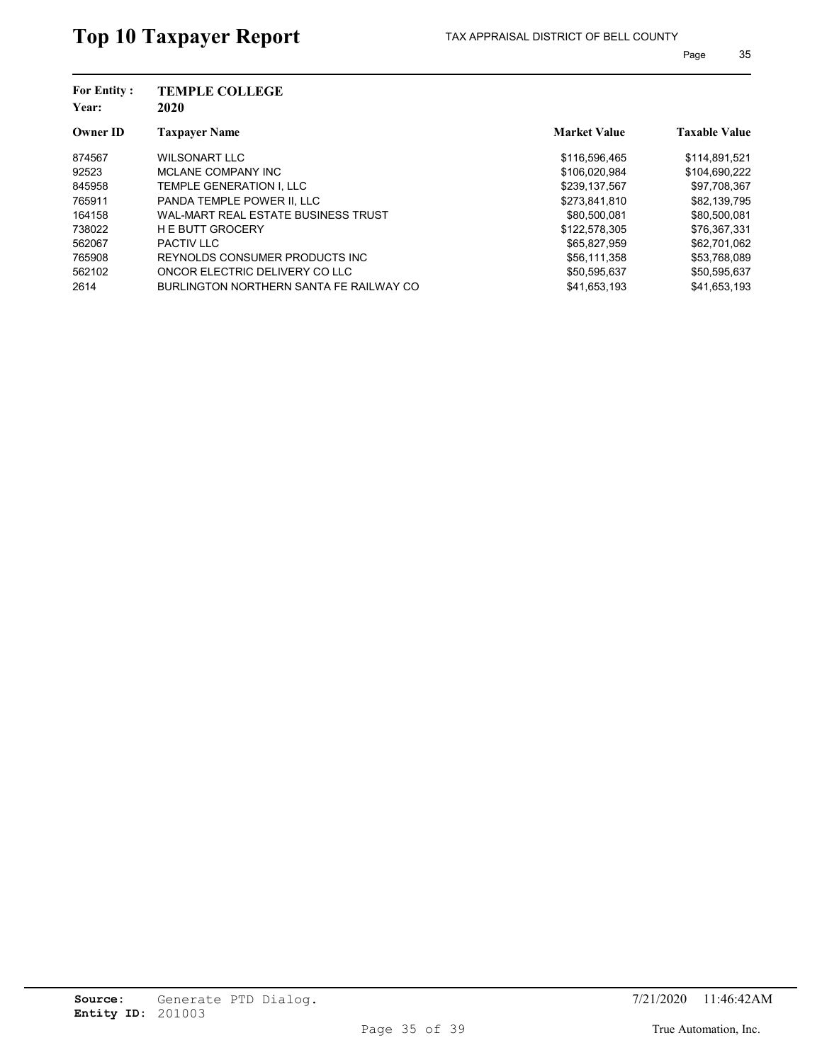| <b>TEMPLE COLLEGE</b><br>2020           |                     |                      |
|-----------------------------------------|---------------------|----------------------|
| <b>Taxpayer Name</b>                    | <b>Market Value</b> | <b>Taxable Value</b> |
| WILSONART LLC                           | \$116,596,465       | \$114,891,521        |
| MCLANE COMPANY INC                      | \$106,020,984       | \$104,690,222        |
| TEMPLE GENERATION I. LLC                | \$239.137.567       | \$97,708,367         |
| PANDA TEMPLE POWER II. LLC              | \$273,841,810       | \$82,139,795         |
| WAL-MART REAL ESTATE BUSINESS TRUST     | \$80,500,081        | \$80,500,081         |
| <b>HE BUTT GROCERY</b>                  | \$122,578,305       | \$76,367,331         |
| <b>PACTIV LLC</b>                       | \$65.827.959        | \$62,701,062         |
| REYNOLDS CONSUMER PRODUCTS INC.         | \$56.111.358        | \$53,768,089         |
| ONCOR ELECTRIC DELIVERY CO LLC          | \$50,595,637        | \$50,595,637         |
| BURLINGTON NORTHERN SANTA FE RAILWAY CO | \$41.653.193        | \$41.653.193         |
|                                         |                     |                      |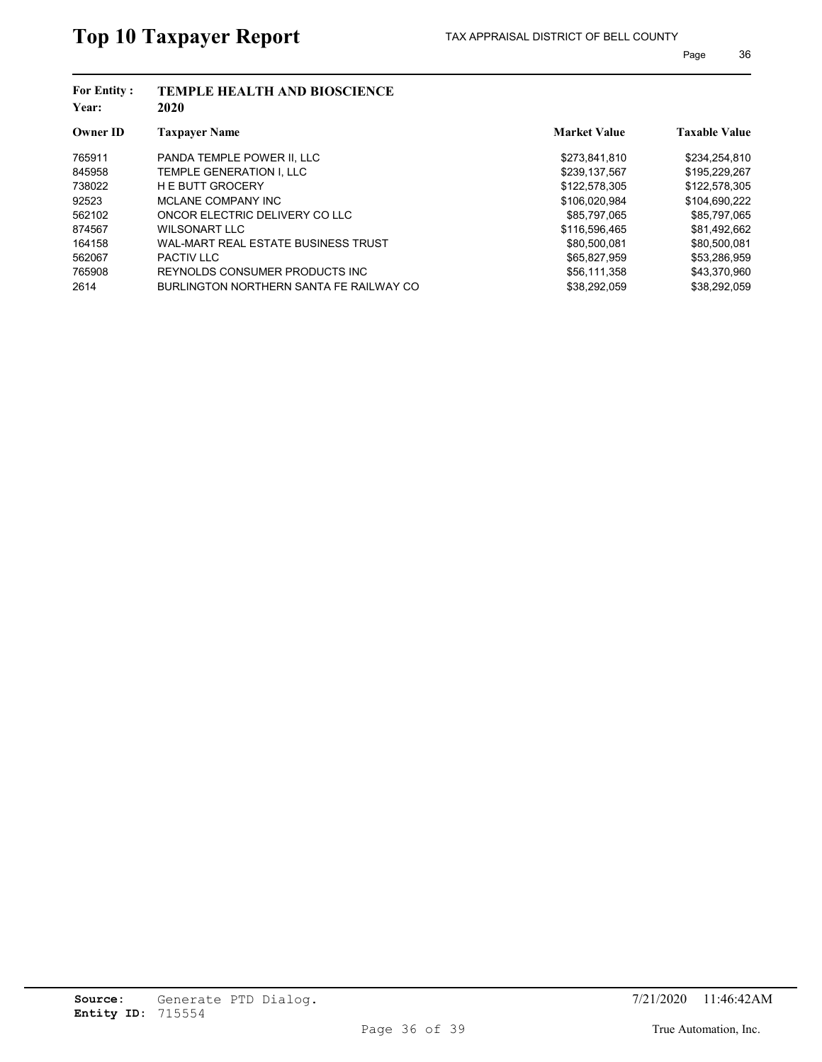| <b>For Entity:</b><br>Year: | <b>TEMPLE HEALTH AND BIOSCIENCE</b><br>2020 |                     |                      |
|-----------------------------|---------------------------------------------|---------------------|----------------------|
| <b>Owner ID</b>             | <b>Taxpayer Name</b>                        | <b>Market Value</b> | <b>Taxable Value</b> |
| 765911                      | PANDA TEMPLE POWER II. LLC                  | \$273,841,810       | \$234,254,810        |
| 845958                      | TEMPLE GENERATION I. LLC                    | \$239,137,567       | \$195,229,267        |
| 738022                      | <b>HE BUTT GROCERY</b>                      | \$122,578,305       | \$122,578,305        |
| 92523                       | MCLANE COMPANY INC                          | \$106,020,984       | \$104,690,222        |
| 562102                      | ONCOR ELECTRIC DELIVERY CO LLC              | \$85.797.065        | \$85,797,065         |
| 874567                      | WILSONART LLC                               | \$116,596.465       | \$81,492,662         |
| 164158                      | WAL-MART REAL ESTATE BUSINESS TRUST         | \$80,500,081        | \$80,500,081         |
| 562067                      | <b>PACTIV LLC</b>                           | \$65.827.959        | \$53,286,959         |
| 765908                      | REYNOLDS CONSUMER PRODUCTS INC.             | \$56,111,358        | \$43,370,960         |
| 2614                        | BURLINGTON NORTHERN SANTA FE RAILWAY CO     | \$38,292,059        | \$38,292,059         |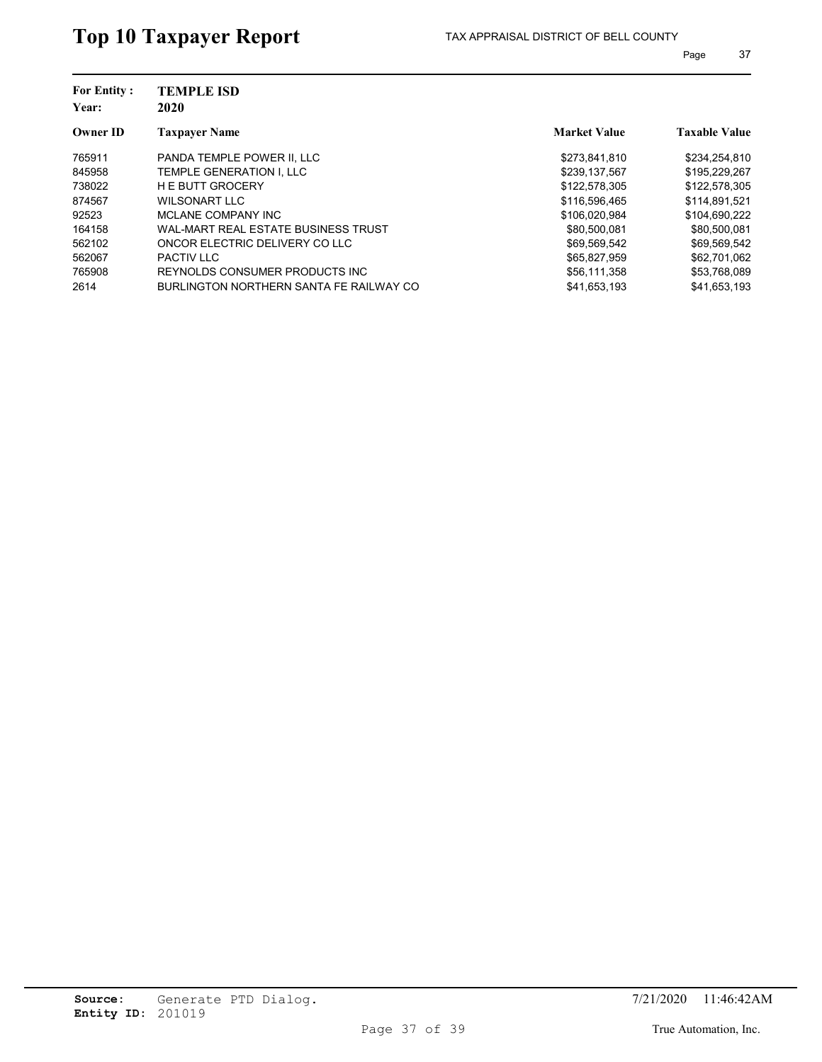| <b>For Entity:</b><br>Year: | <b>TEMPLE ISD</b><br>2020               |                     |                      |  |  |
|-----------------------------|-----------------------------------------|---------------------|----------------------|--|--|
| <b>Owner ID</b>             | <b>Taxpayer Name</b>                    | <b>Market Value</b> | <b>Taxable Value</b> |  |  |
| 765911                      | PANDA TEMPLE POWER II. LLC              | \$273,841,810       | \$234,254,810        |  |  |
| 845958                      | TEMPLE GENERATION I, LLC                | \$239,137,567       | \$195,229,267        |  |  |
| 738022                      | <b>HE BUTT GROCERY</b>                  | \$122,578,305       | \$122,578,305        |  |  |
| 874567                      | WILSONART LLC                           | \$116,596.465       | \$114.891.521        |  |  |
| 92523                       | MCLANE COMPANY INC                      | \$106,020,984       | \$104,690,222        |  |  |
| 164158                      | WAL-MART REAL ESTATE BUSINESS TRUST     | \$80,500,081        | \$80,500,081         |  |  |
| 562102                      | ONCOR ELECTRIC DELIVERY CO LLC          | \$69,569,542        | \$69,569,542         |  |  |
| 562067                      | <b>PACTIV LLC</b>                       | \$65,827,959        | \$62,701.062         |  |  |
| 765908                      | REYNOLDS CONSUMER PRODUCTS INC.         | \$56,111,358        | \$53,768,089         |  |  |
| 2614                        | BURLINGTON NORTHERN SANTA FE RAILWAY CO | \$41,653,193        | \$41,653,193         |  |  |
|                             |                                         |                     |                      |  |  |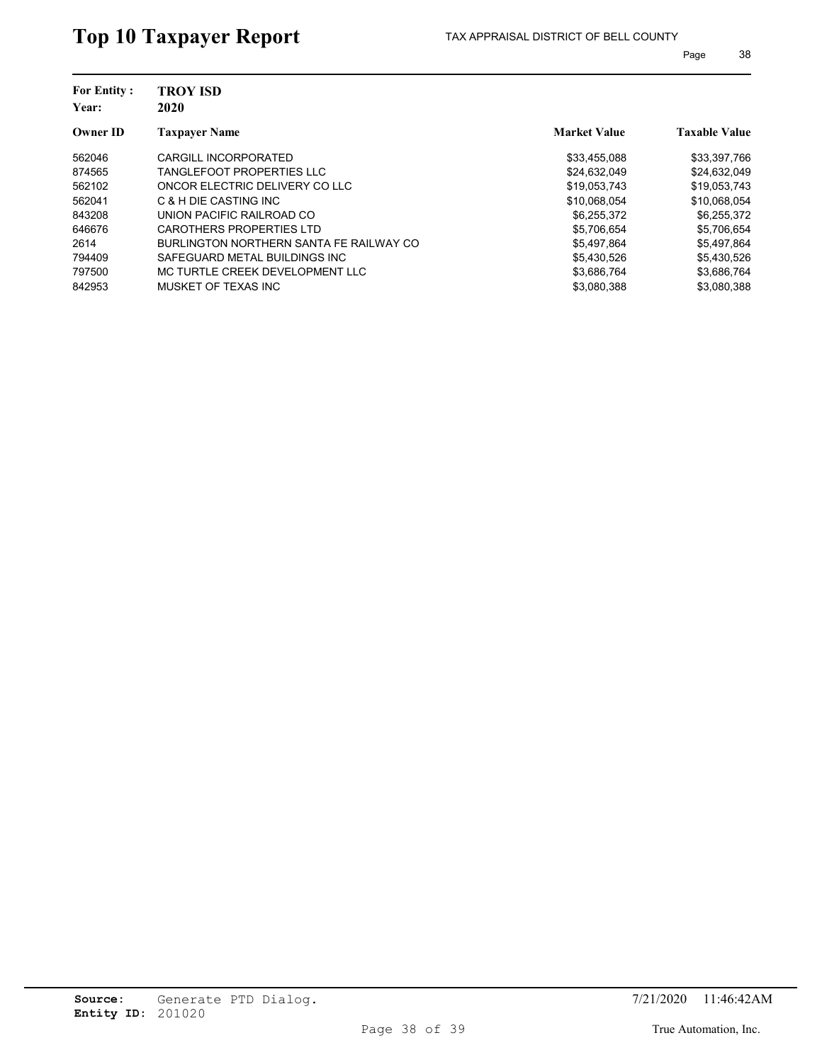| <b>For Entity:</b><br>Year: | <b>TROY ISD</b><br>2020                 |                     |                      |  |  |
|-----------------------------|-----------------------------------------|---------------------|----------------------|--|--|
| <b>Owner ID</b>             | <b>Taxpayer Name</b>                    | <b>Market Value</b> | <b>Taxable Value</b> |  |  |
| 562046                      | CARGILL INCORPORATED                    | \$33,455,088        | \$33,397,766         |  |  |
| 874565                      | <b>TANGLEFOOT PROPERTIES LLC</b>        | \$24,632,049        | \$24,632,049         |  |  |
| 562102                      | ONCOR ELECTRIC DELIVERY CO LLC          | \$19.053.743        | \$19.053.743         |  |  |
| 562041                      | C & H DIE CASTING INC                   | \$10,068,054        | \$10,068,054         |  |  |
| 843208                      | UNION PACIFIC RAILROAD CO               | \$6,255,372         | \$6,255,372          |  |  |
| 646676                      | CAROTHERS PROPERTIES LTD                | \$5.706.654         | \$5,706,654          |  |  |
| 2614                        | BURLINGTON NORTHERN SANTA FE RAILWAY CO | \$5,497,864         | \$5,497,864          |  |  |
| 794409                      | SAFEGUARD METAL BUILDINGS INC           | \$5,430,526         | \$5,430,526          |  |  |
| 797500                      | MC TURTLE CREEK DEVELOPMENT LLC         | \$3,686,764         | \$3,686,764          |  |  |
| 842953                      | MUSKET OF TEXAS INC                     | \$3,080,388         | \$3.080.388          |  |  |